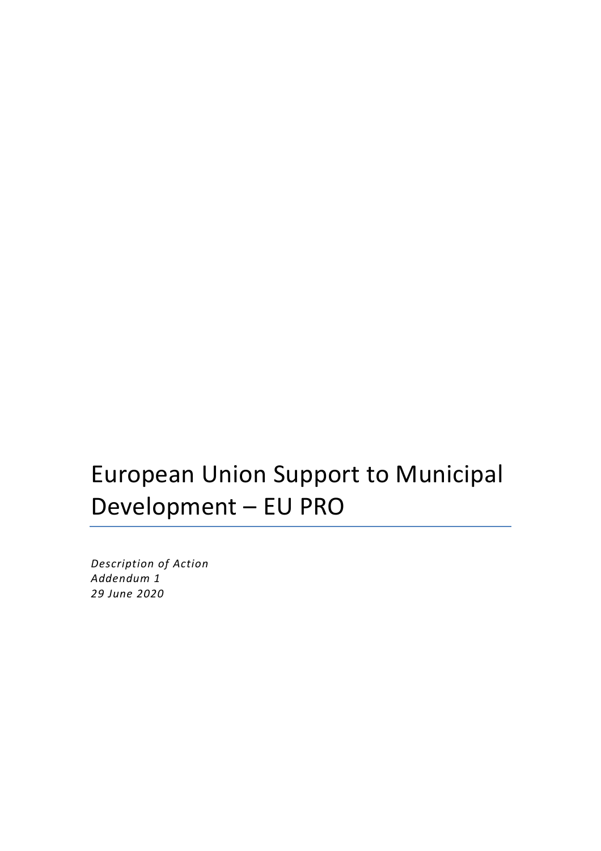# European Union Support to Municipal Development – EU PRO

*Description of Action Addendum 1 29 June 2020*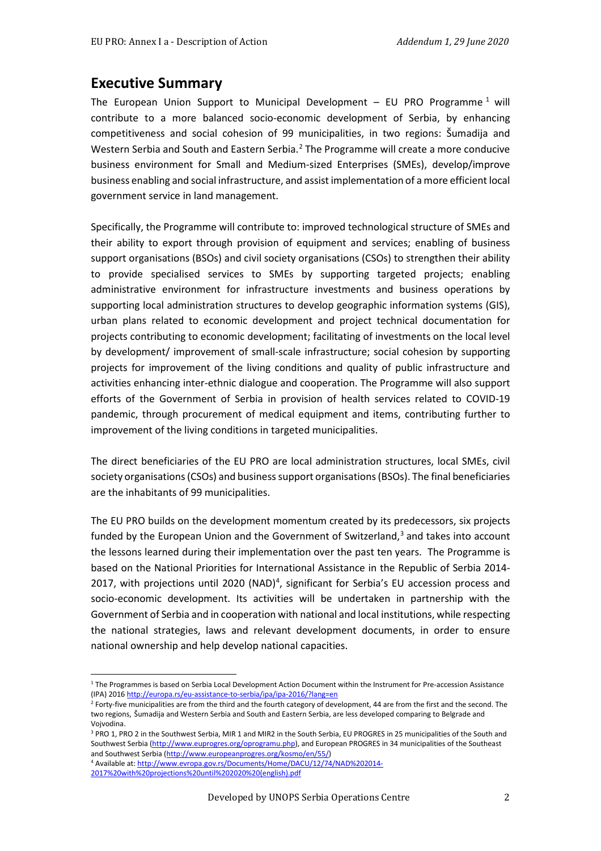# **Executive Summary**

The European Union Support to Municipal Development – EU PRO Programme<sup>[1](#page-1-0)</sup> will contribute to a more balanced socio-economic development of Serbia, by enhancing competitiveness and social cohesion of 99 municipalities, in two regions: Šumadija and Western Serbia and South and Eastern Serbia.[2](#page-1-1) The Programme will create a more conducive business environment for Small and Medium-sized Enterprises (SMEs), develop/improve business enabling and social infrastructure, and assist implementation of a more efficient local government service in land management.

Specifically, the Programme will contribute to: improved technological structure of SMEs and their ability to export through provision of equipment and services; enabling of business support organisations (BSOs) and civil society organisations (CSOs) to strengthen their ability to provide specialised services to SMEs by supporting targeted projects; enabling administrative environment for infrastructure investments and business operations by supporting local administration structures to develop geographic information systems (GIS), urban plans related to economic development and project technical documentation for projects contributing to economic development; facilitating of investments on the local level by development/ improvement of small-scale infrastructure; social cohesion by supporting projects for improvement of the living conditions and quality of public infrastructure and activities enhancing inter-ethnic dialogue and cooperation. The Programme will also support efforts of the Government of Serbia in provision of health services related to COVID-19 pandemic, through procurement of medical equipment and items, contributing further to improvement of the living conditions in targeted municipalities.

The direct beneficiaries of the EU PRO are local administration structures, local SMEs, civil society organisations (CSOs) and business support organisations (BSOs). The final beneficiaries are the inhabitants of 99 municipalities.

The EU PRO builds on the development momentum created by its predecessors, six projects funded by the European Union and the Government of Switzerland, $3$  and takes into account the lessons learned during their implementation over the past ten years. The Programme is based on the National Priorities for International Assistance in the Republic of Serbia 2014- 2017, with projections until 2020 (NAD)<sup>[4](#page-1-3)</sup>, significant for Serbia's EU accession process and socio-economic development. Its activities will be undertaken in partnership with the Government of Serbia and in cooperation with national and local institutions, while respecting the national strategies, laws and relevant development documents, in order to ensure national ownership and help develop national capacities.

<span id="page-1-3"></span>[2017%20with%20projections%20until%202020%20\(english\).pdf](http://www.evropa.gov.rs/Documents/Home/DACU/12/74/NAD%202014-2017%20with%20projections%20until%202020%20(english).pdf)

<span id="page-1-0"></span><sup>&</sup>lt;sup>1</sup> The Programmes is based on Serbia Local Development Action Document within the Instrument for Pre-accession Assistance (IPA) 201[6 http://europa.rs/eu-assistance-to-serbia/ipa/ipa-2016/?lang=en](http://europa.rs/eu-assistance-to-serbia/ipa/ipa-2016/?lang=en)

<span id="page-1-1"></span> $2$  Forty-five municipalities are from the third and the fourth category of development, 44 are from the first and the second. The two regions, Šumadija and Western Serbia and South and Eastern Serbia, are less developed comparing to Belgrade and Vojvodina.

<span id="page-1-2"></span><sup>&</sup>lt;sup>3</sup> PRO 1, PRO 2 in the Southwest Serbia, MIR 1 and MIR2 in the South Serbia, EU PROGRES in 25 municipalities of the South and Southwest Serbia [\(http://www.euprogres.org/oprogramu.php\)](http://www.euprogres.org/oprogramu.php), and European PROGRES in 34 municipalities of the Southeast and Southwest Serbia (http://www.europeanprogres.org/kosmo/en/55/)<br>4 Available at[: http://www.evropa.gov.rs/Documents/Home/DACU/12/74/NAD%202014-](http://www.evropa.gov.rs/Documents/Home/DACU/12/74/NAD%202014-2017%20with%20projections%20until%202020%20(english).pdf)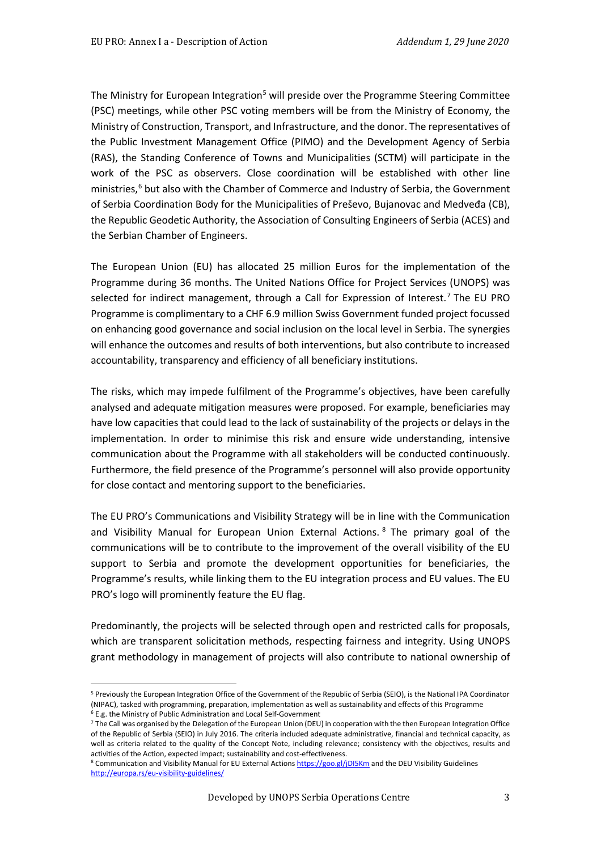The Ministry for European Integration<sup>[5](#page-2-0)</sup> will preside over the Programme Steering Committee (PSC) meetings, while other PSC voting members will be from the Ministry of Economy, the Ministry of Construction, Transport, and Infrastructure, and the donor. The representatives of the Public Investment Management Office (PIMO) and the Development Agency of Serbia (RAS), the Standing Conference of Towns and Municipalities (SCTM) will participate in the work of the PSC as observers. Close coordination will be established with other line ministries,<sup>[6](#page-2-1)</sup> but also with the Chamber of Commerce and Industry of Serbia, the Government of Serbia Coordination Body for the Municipalities of Preševo, Bujanovac and Medveđa (CB), the Republic Geodetic Authority, the Association of Consulting Engineers of Serbia (ACES) and the Serbian Chamber of Engineers.

The European Union (EU) has allocated 25 million Euros for the implementation of the Programme during 36 months. The United Nations Office for Project Services (UNOPS) was selected for indirect management, through a Call for Expression of Interest.<sup>[7](#page-2-2)</sup> The EU PRO Programme is complimentary to a CHF 6.9 million Swiss Government funded project focussed on enhancing good governance and social inclusion on the local level in Serbia. The synergies will enhance the outcomes and results of both interventions, but also contribute to increased accountability, transparency and efficiency of all beneficiary institutions.

The risks, which may impede fulfilment of the Programme's objectives, have been carefully analysed and adequate mitigation measures were proposed. For example, beneficiaries may have low capacities that could lead to the lack of sustainability of the projects or delays in the implementation. In order to minimise this risk and ensure wide understanding, intensive communication about the Programme with all stakeholders will be conducted continuously. Furthermore, the field presence of the Programme's personnel will also provide opportunity for close contact and mentoring support to the beneficiaries.

The EU PRO's Communications and Visibility Strategy will be in line with the Communication and Visibility Manual for European Union External Actions. [8](#page-2-3) The primary goal of the communications will be to contribute to the improvement of the overall visibility of the EU support to Serbia and promote the development opportunities for beneficiaries, the Programme's results, while linking them to the EU integration process and EU values. The EU PRO's logo will prominently feature the EU flag.

Predominantly, the projects will be selected through open and restricted calls for proposals, which are transparent solicitation methods, respecting fairness and integrity. Using UNOPS grant methodology in management of projects will also contribute to national ownership of

<span id="page-2-0"></span><sup>5</sup> Previously the European Integration Office of the Government of the Republic of Serbia (SEIO), is the National IPA Coordinator (NIPAC), tasked with programming, preparation, implementation as well as sustainability and effects of this Programme

<sup>6</sup> E.g. the Ministry of Public Administration and Local Self-Government

<span id="page-2-2"></span><span id="page-2-1"></span><sup>7</sup> The Call was organised by the Delegation of the European Union (DEU) in cooperation with the then European Integration Office of the Republic of Serbia (SEIO) in July 2016. The criteria included adequate administrative, financial and technical capacity, as well as criteria related to the quality of the Concept Note, including relevance; consistency with the objectives, results and activities of the Action, expected impact; sustainability and cost-effectiveness.

<span id="page-2-3"></span><sup>8</sup> Communication and Visibility Manual for EU External Action[s https://goo.gl/jDI5Km](https://goo.gl/jDI5Km) and the DEU Visibility Guidelines <http://europa.rs/eu-visibility-guidelines/>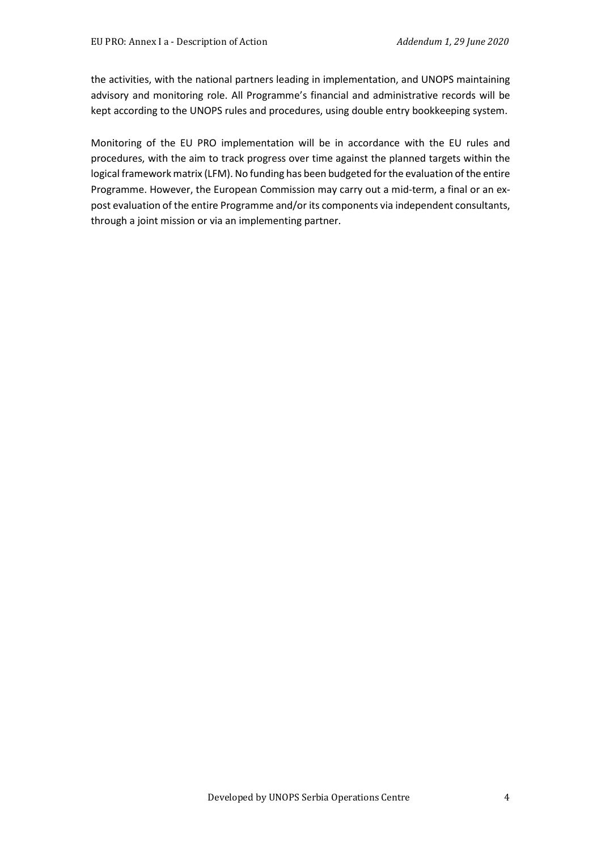the activities, with the national partners leading in implementation, and UNOPS maintaining advisory and monitoring role. All Programme's financial and administrative records will be kept according to the UNOPS rules and procedures, using double entry bookkeeping system.

Monitoring of the EU PRO implementation will be in accordance with the EU rules and procedures, with the aim to track progress over time against the planned targets within the logical framework matrix (LFM). No funding has been budgeted for the evaluation of the entire Programme. However, the European Commission may carry out a mid-term, a final or an expost evaluation of the entire Programme and/or its components via independent consultants, through a joint mission or via an implementing partner.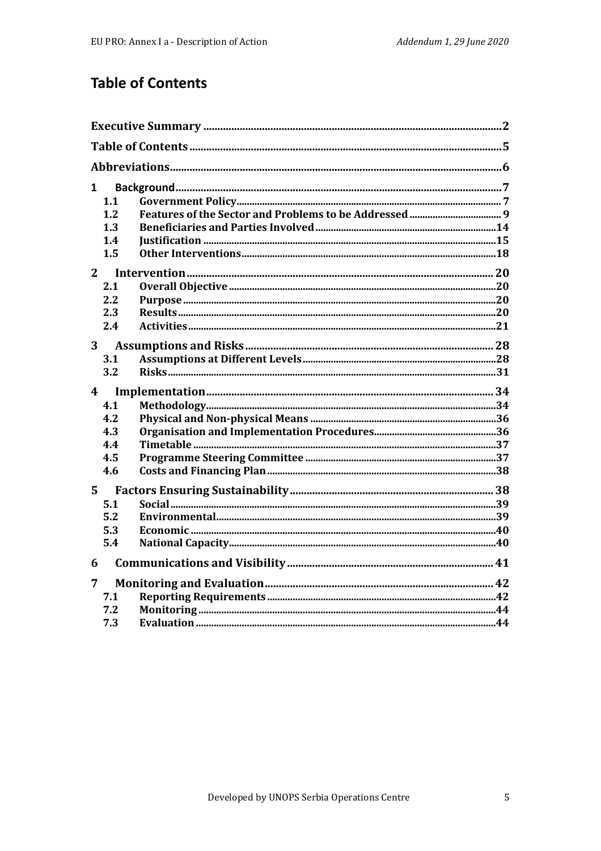# **Table of Contents**

| $\mathbf{1}$            |            |  |
|-------------------------|------------|--|
|                         | 1.1        |  |
|                         | 1.2        |  |
|                         | 1.3        |  |
|                         | 1.4        |  |
|                         | 1.5        |  |
| 2 <sup>1</sup>          |            |  |
|                         | 2.1        |  |
|                         | 2.2        |  |
|                         | 2.3        |  |
|                         | 2.4        |  |
| 3                       |            |  |
|                         | 3.1        |  |
|                         | 3.2        |  |
|                         |            |  |
| $\overline{\mathbf{4}}$ |            |  |
|                         | 4.1        |  |
|                         | 4.2        |  |
|                         | 4.3        |  |
|                         | 4.4        |  |
|                         | 4.5        |  |
|                         | 4.6        |  |
| $5^{\circ}$             |            |  |
|                         | 5.1        |  |
|                         | 5.2        |  |
|                         | 5.3        |  |
|                         | 5.4        |  |
| 6                       |            |  |
| $\overline{7}$          |            |  |
|                         | 7.1        |  |
|                         | 7.2<br>7.3 |  |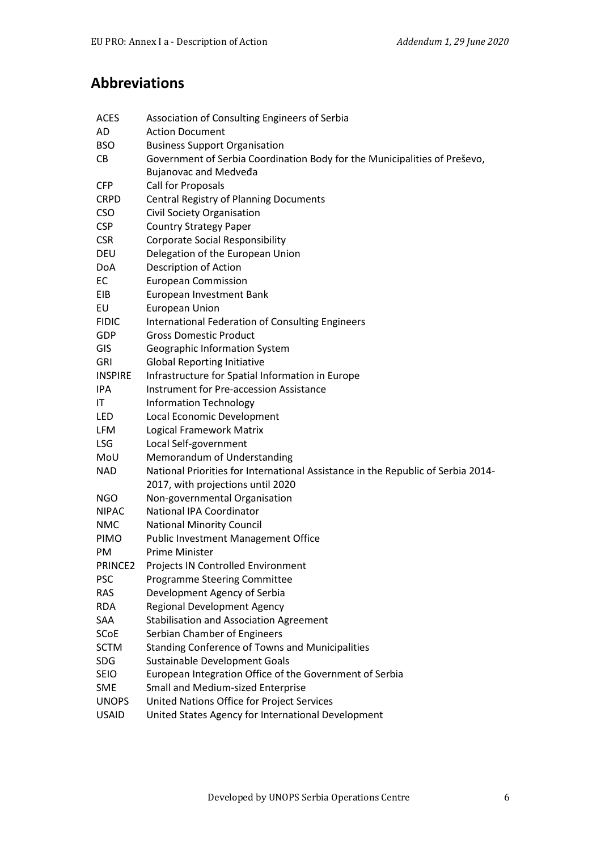# **Abbreviations**

| <b>ACES</b>    | Association of Consulting Engineers of Serbia                                    |  |  |  |  |  |  |
|----------------|----------------------------------------------------------------------------------|--|--|--|--|--|--|
| AD             | <b>Action Document</b>                                                           |  |  |  |  |  |  |
| <b>BSO</b>     | <b>Business Support Organisation</b>                                             |  |  |  |  |  |  |
| CB             | Government of Serbia Coordination Body for the Municipalities of Preševo,        |  |  |  |  |  |  |
|                | <b>Bujanovac and Medveda</b>                                                     |  |  |  |  |  |  |
| <b>CFP</b>     | Call for Proposals                                                               |  |  |  |  |  |  |
| <b>CRPD</b>    | Central Registry of Planning Documents                                           |  |  |  |  |  |  |
| <b>CSO</b>     | <b>Civil Society Organisation</b>                                                |  |  |  |  |  |  |
| <b>CSP</b>     | <b>Country Strategy Paper</b>                                                    |  |  |  |  |  |  |
| <b>CSR</b>     | <b>Corporate Social Responsibility</b>                                           |  |  |  |  |  |  |
| <b>DEU</b>     | Delegation of the European Union                                                 |  |  |  |  |  |  |
| DoA            | Description of Action                                                            |  |  |  |  |  |  |
| EC             | <b>European Commission</b>                                                       |  |  |  |  |  |  |
| EIB            | European Investment Bank                                                         |  |  |  |  |  |  |
| EU             | European Union                                                                   |  |  |  |  |  |  |
| <b>FIDIC</b>   | International Federation of Consulting Engineers                                 |  |  |  |  |  |  |
| <b>GDP</b>     | <b>Gross Domestic Product</b>                                                    |  |  |  |  |  |  |
| GIS            | Geographic Information System                                                    |  |  |  |  |  |  |
| <b>GRI</b>     | <b>Global Reporting Initiative</b>                                               |  |  |  |  |  |  |
| <b>INSPIRE</b> | Infrastructure for Spatial Information in Europe                                 |  |  |  |  |  |  |
| IPA            | <b>Instrument for Pre-accession Assistance</b>                                   |  |  |  |  |  |  |
| IT             | <b>Information Technology</b>                                                    |  |  |  |  |  |  |
| <b>LED</b>     | Local Economic Development                                                       |  |  |  |  |  |  |
| LFM            | Logical Framework Matrix                                                         |  |  |  |  |  |  |
| <b>LSG</b>     | Local Self-government                                                            |  |  |  |  |  |  |
| MoU            | Memorandum of Understanding                                                      |  |  |  |  |  |  |
| <b>NAD</b>     | National Priorities for International Assistance in the Republic of Serbia 2014- |  |  |  |  |  |  |
|                | 2017, with projections until 2020                                                |  |  |  |  |  |  |
| <b>NGO</b>     | Non-governmental Organisation                                                    |  |  |  |  |  |  |
| <b>NIPAC</b>   | National IPA Coordinator                                                         |  |  |  |  |  |  |
| <b>NMC</b>     | <b>National Minority Council</b>                                                 |  |  |  |  |  |  |
| PIMO           | <b>Public Investment Management Office</b>                                       |  |  |  |  |  |  |
| PM             | Prime Minister                                                                   |  |  |  |  |  |  |
| PRINCE2        | Projects IN Controlled Environment                                               |  |  |  |  |  |  |
| <b>PSC</b>     | <b>Programme Steering Committee</b>                                              |  |  |  |  |  |  |
| <b>RAS</b>     | Development Agency of Serbia                                                     |  |  |  |  |  |  |
| <b>RDA</b>     | <b>Regional Development Agency</b>                                               |  |  |  |  |  |  |
| SAA            | <b>Stabilisation and Association Agreement</b>                                   |  |  |  |  |  |  |
| <b>SCoE</b>    | Serbian Chamber of Engineers                                                     |  |  |  |  |  |  |
| <b>SCTM</b>    | <b>Standing Conference of Towns and Municipalities</b>                           |  |  |  |  |  |  |
| <b>SDG</b>     | Sustainable Development Goals                                                    |  |  |  |  |  |  |
| <b>SEIO</b>    | European Integration Office of the Government of Serbia                          |  |  |  |  |  |  |
| <b>SME</b>     | Small and Medium-sized Enterprise                                                |  |  |  |  |  |  |
| <b>UNOPS</b>   | United Nations Office for Project Services                                       |  |  |  |  |  |  |
| <b>USAID</b>   | United States Agency for International Development                               |  |  |  |  |  |  |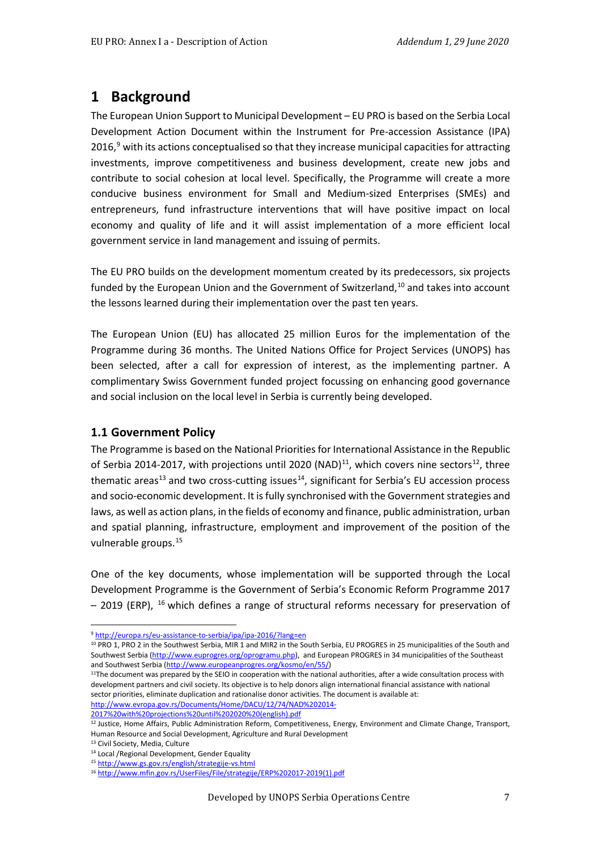# **1 Background**

The European Union Support to Municipal Development – EU PRO is based on the Serbia Local Development Action Document within the Instrument for Pre-accession Assistance (IPA) 2016, $^9$  $^9$  with its actions conceptualised so that they increase municipal capacities for attracting investments, improve competitiveness and business development, create new jobs and contribute to social cohesion at local level. Specifically, the Programme will create a more conducive business environment for Small and Medium-sized Enterprises (SMEs) and entrepreneurs, fund infrastructure interventions that will have positive impact on local economy and quality of life and it will assist implementation of a more efficient local government service in land management and issuing of permits.

The EU PRO builds on the development momentum created by its predecessors, six projects funded by the European Union and the Government of Switzerland, $10$  and takes into account the lessons learned during their implementation over the past ten years.

The European Union (EU) has allocated 25 million Euros for the implementation of the Programme during 36 months. The United Nations Office for Project Services (UNOPS) has been selected, after a call for expression of interest, as the implementing partner. A complimentary Swiss Government funded project focussing on enhancing good governance and social inclusion on the local level in Serbia is currently being developed.

#### **1.1 Government Policy**

The Programme is based on the National Priorities for International Assistance in the Republic of Serbia 2014-2017, with projections until 2020 (NAD) $^{11}$ , which covers nine sectors $^{12}$ , three thematic areas<sup>13</sup> and two cross-cutting issues<sup>14</sup>, significant for Serbia's EU accession process and socio-economic development. It is fully synchronised with the Government strategies and laws, as well as action plans, in the fields of economy and finance, public administration, urban and spatial planning, infrastructure, employment and improvement of the position of the vulnerable groups.[15](#page-6-6)

One of the key documents, whose implementation will be supported through the Local Development Programme is the Government of Serbia's Economic Reform Programme 2017 – 2019 (ERP), [16](#page-6-7) which defines a range of structural reforms necessary for preservation of

[2017%20with%20projections%20until%202020%20\(english\).pdf](http://www.evropa.gov.rs/Documents/Home/DACU/12/74/NAD%202014-2017%20with%20projections%20until%202020%20(english).pdf)

<sup>9</sup> <http://europa.rs/eu-assistance-to-serbia/ipa/ipa-2016/?lang=en>

<span id="page-6-1"></span><span id="page-6-0"></span><sup>10</sup> PRO 1, PRO 2 in the Southwest Serbia, MIR 1 and MIR2 in the South Serbia, EU PROGRES in 25 municipalities of the South and Southwest Serbia [\(http://www.euprogres.org/oprogramu.php\)](http://www.euprogres.org/oprogramu.php), and European PROGRES in 34 municipalities of the Southeast and Southwest Serbia (http://www.europeanprogres.org/kosmo/en/55/)<br><sup>11</sup>The document was prepared by the SEIO in cooperation with the national authorities, after a wide consultation process with

<span id="page-6-2"></span>development partners and civil society. Its objective is to help donors align international financial assistance with national sector priorities, eliminate duplication and rationalise donor activities. The document is available at: [http://www.evropa.gov.rs/Documents/Home/DACU/12/74/NAD%202014-](http://www.evropa.gov.rs/Documents/Home/DACU/12/74/NAD%202014-2017%20with%20projections%20until%202020%20(english).pdf)

<span id="page-6-3"></span><sup>&</sup>lt;sup>12</sup> Justice, Home Affairs, Public Administration Reform, Competitiveness, Energy, Environment and Climate Change, Transport, Human Resource and Social Development, Agriculture and Rural Development

<sup>&</sup>lt;sup>13</sup> Civil Society, Media, Culture

<span id="page-6-5"></span><span id="page-6-4"></span><sup>14</sup> Local /Regional Development, Gender Equality

<span id="page-6-6"></span><sup>15</sup> <http://www.gs.gov.rs/english/strategije-vs.html>

<span id="page-6-7"></span><sup>16</sup> [http://www.mfin.gov.rs/UserFiles/File/strategije/ERP%202017-2019\(1\).pdf](http://www.mfin.gov.rs/UserFiles/File/strategije/ERP%202017-2019(1).pdf)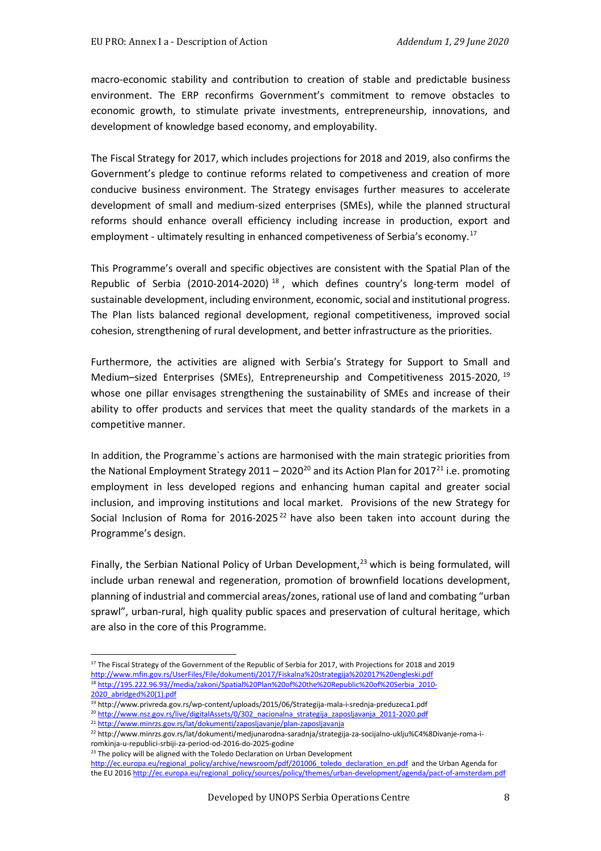macro-economic stability and contribution to creation of stable and predictable business environment. The ERP reconfirms Government's commitment to remove obstacles to economic growth, to stimulate private investments, entrepreneurship, innovations, and development of knowledge based economy, and employability.

The Fiscal Strategy for 2017, which includes projections for 2018 and 2019, also confirms the Government's pledge to continue reforms related to competiveness and creation of more conducive business environment. The Strategy envisages further measures to accelerate development of small and medium-sized enterprises (SMEs), while the planned structural reforms should enhance overall efficiency including increase in production, export and employment - ultimately resulting in enhanced competiveness of Serbia's economy.<sup>[17](#page-7-0)</sup>

This Programme's overall and specific objectives are consistent with the Spatial Plan of the Republic of Serbia (2010-2014-2020)<sup>[18](#page-7-1)</sup>, which defines country's long-term model of sustainable development, including environment, economic, social and institutional progress. The Plan lists balanced regional development, regional competitiveness, improved social cohesion, strengthening of rural development, and better infrastructure as the priorities.

Furthermore, the activities are aligned with Serbia's Strategy for Support to Small and Medium–sized Enterprises (SMEs), Entrepreneurship and Competitiveness 2015-2020, <sup>[19](#page-7-2)</sup> whose one pillar envisages strengthening the sustainability of SMEs and increase of their ability to offer products and services that meet the quality standards of the markets in a competitive manner.

In addition, the Programme`s actions are harmonised with the main strategic priorities from the National Employment Strategy [20](#page-7-3)11 – 2020<sup>20</sup> and its Action Plan for 2017<sup>[21](#page-7-4)</sup> i.e. promoting employment in less developed regions and enhancing human capital and greater social inclusion, and improving institutions and local market. Provisions of the new Strategy for Social Inclusion of Roma for  $2016-2025^{22}$  $2016-2025^{22}$  $2016-2025^{22}$  have also been taken into account during the Programme's design.

Finally, the Serbian National Policy of Urban Development, $^{23}$  $^{23}$  $^{23}$  which is being formulated, will include urban renewal and regeneration, promotion of brownfield locations development, planning of industrial and commercial areas/zones, rational use of land and combating "urban sprawl", urban-rural, high quality public spaces and preservation of cultural heritage, which are also in the core of this Programme.

<span id="page-7-1"></span><span id="page-7-0"></span><sup>17</sup> The Fiscal Strategy of the Government of the Republic of Serbia for 2017, with Projections for 2018 and 2019 <http://www.mfin.gov.rs/UserFiles/File/dokumenti/2017/Fiskalna%20strategija%202017%20engleski.pdf> <sup>18</sup> [http://195.222.96.93//media/zakoni/Spatial%20Plan%20of%20the%20Republic%20of%20Serbia\\_2010-](http://195.222.96.93/media/zakoni/Spatial%20Plan%20of%20the%20Republic%20of%20Serbia_2010-2020_abridged%20(1).pdf) 2020\_abridged%20(1).pdf<br><sup>19</sup> http://www.privreda.gov.rs/wp-content/uploads/2015/06/Strategija-mala-i-srednja-preduzeca1.pdf

<span id="page-7-3"></span><span id="page-7-2"></span><sup>&</sup>lt;sup>20</sup> http://www.nsz.gov.rs/live/digitalAssets/0/302 nacionalna strategija zaposljavanja 2011-2020.pdf

<span id="page-7-4"></span><sup>&</sup>lt;sup>21</sup> <http://www.minrzs.gov.rs/lat/dokumenti/zaposljavanje/plan-zaposljavanja>

<span id="page-7-5"></span><sup>22</sup> http://www.minrzs.gov.rs/lat/dokumenti/medjunarodna-saradnja/strategija-za-socijalno-uklju%C4%8Divanje-roma-iromkinja-u-republici-srbiji-za-period-od-2016-do-2025-godine

<span id="page-7-6"></span><sup>&</sup>lt;sup>23</sup> The policy will be aligned with the Toledo Declaration on Urban Development

[http://ec.europa.eu/regional\\_policy/archive/newsroom/pdf/201006\\_toledo\\_declaration\\_en.pdf](http://ec.europa.eu/regional_policy/archive/newsroom/pdf/201006_toledo_declaration_en.pdf) and the Urban Agenda for the EU 201[6 http://ec.europa.eu/regional\\_policy/sources/policy/themes/urban-development/agenda/pact-of-amsterdam.pdf](http://ec.europa.eu/regional_policy/sources/policy/themes/urban-development/agenda/pact-of-amsterdam.pdf)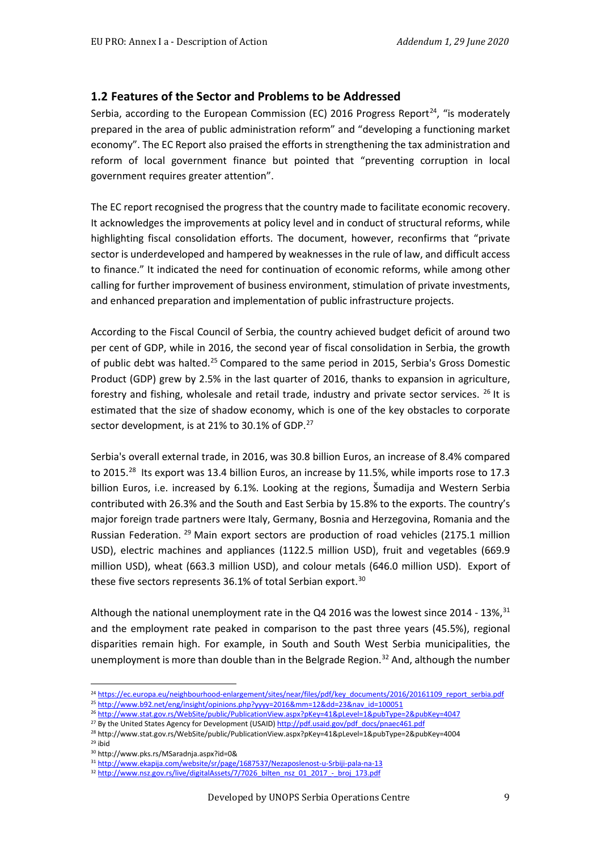#### **1.2 Features of the Sector and Problems to be Addressed**

Serbia, according to the European Commission (EC) 2016 Progress Report<sup>[24](#page-8-0)</sup>, "is moderately prepared in the area of public administration reform" and "developing a functioning market economy". The EC Report also praised the efforts in strengthening the tax administration and reform of local government finance but pointed that "preventing corruption in local government requires greater attention".

The EC report recognised the progress that the country made to facilitate economic recovery. It acknowledges the improvements at policy level and in conduct of structural reforms, while highlighting fiscal consolidation efforts. The document, however, reconfirms that "private sector is underdeveloped and hampered by weaknesses in the rule of law, and difficult access to finance." It indicated the need for continuation of economic reforms, while among other calling for further improvement of business environment, stimulation of private investments, and enhanced preparation and implementation of public infrastructure projects.

According to the Fiscal Council of Serbia, the country achieved budget deficit of around two per cent of GDP, while in 2016, the second year of fiscal consolidation in Serbia, the growth of public debt was halted.<sup>25</sup> Compared to the same period in 2015, Serbia's Gross Domestic Product (GDP) grew by 2.5% in the last quarter of 2016, thanks to expansion in agriculture, forestry and fishing, wholesale and retail trade, industry and private sector services. <sup>[26](#page-8-2)</sup> It is estimated that the size of shadow economy, which is one of the key obstacles to corporate sector development, is at 21% to 30.1% of GDP.<sup>[27](#page-8-3)</sup>

Serbia's overall external trade, in 2016, was 30.8 billion Euros, an increase of 8.4% compared to 2015.<sup>[28](#page-8-4)</sup> Its export was 13.4 billion Euros, an increase by 11.5%, while imports rose to 17.3 billion Euros, i.e. increased by 6.1%. Looking at the regions, Šumadija and Western Serbia contributed with 26.3% and the South and East Serbia by 15.8% to the exports. The country's major foreign trade partners were Italy, Germany, Bosnia and Herzegovina, Romania and the Russian Federation. [29](#page-8-5) Main export sectors are production of road vehicles (2175.1 million USD), electric machines and appliances (1122.5 million USD), fruit and vegetables (669.9 million USD), wheat (663.3 million USD), and colour metals (646.0 million USD). Export of these five sectors represents 36.1% of total Serbian export.<sup>[30](#page-8-6)</sup>

Although the national unemployment rate in the Q4 2016 was the lowest since 2014 -  $13\%,^{31}$  $13\%,^{31}$  $13\%,^{31}$ and the employment rate peaked in comparison to the past three years (45.5%), regional disparities remain high. For example, in South and South West Serbia municipalities, the unemployment is more than double than in the Belgrade Region.<sup>[32](#page-8-8)</sup> And, although the number

<span id="page-8-0"></span><sup>&</sup>lt;sup>24</sup> [https://ec.europa.eu/neighbourhood-enlargement/sites/near/files/pdf/key\\_documents/2016/20161109\\_report\\_serbia.pdf](https://ec.europa.eu/neighbourhood-enlargement/sites/near/files/pdf/key_documents/2016/20161109_report_serbia.pdf)

<sup>&</sup>lt;sup>25</sup> [http://www.b92.net/eng/insight/opinions.php?yyyy=2016&mm=12&dd=23&nav\\_id=100051](http://www.b92.net/eng/insight/opinions.php?yyyy=2016&mm=12&dd=23&nav_id=100051)

<span id="page-8-2"></span><span id="page-8-1"></span><sup>26</sup> <http://www.stat.gov.rs/WebSite/public/PublicationView.aspx?pKey=41&pLevel=1&pubType=2&pubKey=4047> <sup>27</sup> By the United States Agency for Development (USAID[\) http://pdf.usaid.gov/pdf\\_docs/pnaec461.pdf](http://pdf.usaid.gov/pdf_docs/pnaec461.pdf)

<span id="page-8-5"></span><span id="page-8-4"></span><span id="page-8-3"></span><sup>28</sup> http://www.stat.gov.rs/WebSite/public/PublicationView.aspx?pKey=41&pLevel=1&pubType=2&pubKey=4004 <sup>29</sup> ibid

<sup>30</sup> http://www.pks.rs/MSaradnja.aspx?id=0&

<span id="page-8-7"></span><span id="page-8-6"></span><sup>31</sup> <http://www.ekapija.com/website/sr/page/1687537/Nezaposlenost-u-Srbiji-pala-na-13>

<span id="page-8-8"></span><sup>&</sup>lt;sup>32</sup> [http://www.nsz.gov.rs/live/digitalAssets/7/7026\\_bilten\\_nsz\\_01\\_2017\\_-\\_broj\\_173.pdf](http://www.nsz.gov.rs/live/digitalAssets/7/7026_bilten_nsz_01_2017_-_broj_173.pdf)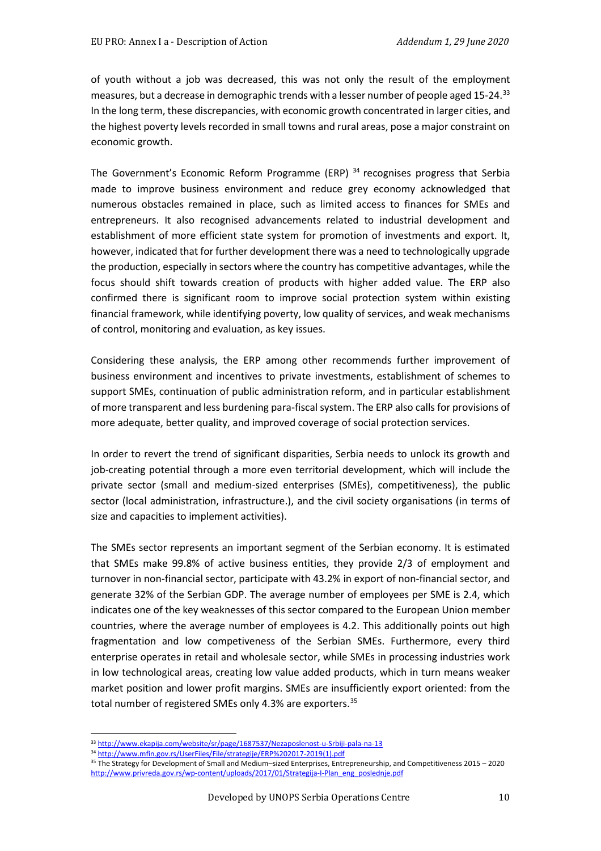of youth without a job was decreased, this was not only the result of the employment measures, but a decrease in demographic trends with a lesser number of people aged 15-24.[33](#page-9-0) In the long term, these discrepancies, with economic growth concentrated in larger cities, and the highest poverty levels recorded in small towns and rural areas, pose a major constraint on economic growth.

The Government's Economic Reform Programme (ERP)<sup>[34](#page-9-1)</sup> recognises progress that Serbia made to improve business environment and reduce grey economy acknowledged that numerous obstacles remained in place, such as limited access to finances for SMEs and entrepreneurs. It also recognised advancements related to industrial development and establishment of more efficient state system for promotion of investments and export. It, however, indicated that for further development there was a need to technologically upgrade the production, especially in sectors where the country has competitive advantages, while the focus should shift towards creation of products with higher added value. The ERP also confirmed there is significant room to improve social protection system within existing financial framework, while identifying poverty, low quality of services, and weak mechanisms of control, monitoring and evaluation, as key issues.

Considering these analysis, the ERP among other recommends further improvement of business environment and incentives to private investments, establishment of schemes to support SMEs, continuation of public administration reform, and in particular establishment of more transparent and less burdening para-fiscal system. The ERP also calls for provisions of more adequate, better quality, and improved coverage of social protection services.

In order to revert the trend of significant disparities, Serbia needs to unlock its growth and job-creating potential through a more even territorial development, which will include the private sector (small and medium-sized enterprises (SMEs), competitiveness), the public sector (local administration, infrastructure.), and the civil society organisations (in terms of size and capacities to implement activities).

The SMEs sector represents an important segment of the Serbian economy. It is estimated that SMEs make 99.8% of active business entities, they provide 2/3 of employment and turnover in non-financial sector, participate with 43.2% in export of non-financial sector, and generate 32% of the Serbian GDP. The average number of employees per SME is 2.4, which indicates one of the key weaknesses of this sector compared to the European Union member countries, where the average number of employees is 4.2. This additionally points out high fragmentation and low competiveness of the Serbian SMEs. Furthermore, every third enterprise operates in retail and wholesale sector, while SMEs in processing industries work in low technological areas, creating low value added products, which in turn means weaker market position and lower profit margins. SMEs are insufficiently export oriented: from the total number of registered SMEs only 4.3% are exporters.<sup>[35](#page-9-2)</sup>

<span id="page-9-2"></span><sup>35</sup> The Strategy for Development of Small and Medium–sized Enterprises, Entrepreneurship, and Competitiveness 2015 – 2020 [http://www.privreda.gov.rs/wp-content/uploads/2017/01/Strategija-I-Plan\\_eng\\_poslednje.pdf](http://www.privreda.gov.rs/wp-content/uploads/2017/01/Strategija-I-Plan_eng_poslednje.pdf)

<sup>33</sup> <http://www.ekapija.com/website/sr/page/1687537/Nezaposlenost-u-Srbiji-pala-na-13>

<span id="page-9-1"></span><span id="page-9-0"></span><sup>34</sup> [http://www.mfin.gov.rs/UserFiles/File/strategije/ERP%202017-2019\(1\).pdf](http://www.mfin.gov.rs/UserFiles/File/strategije/ERP%202017-2019(1).pdf)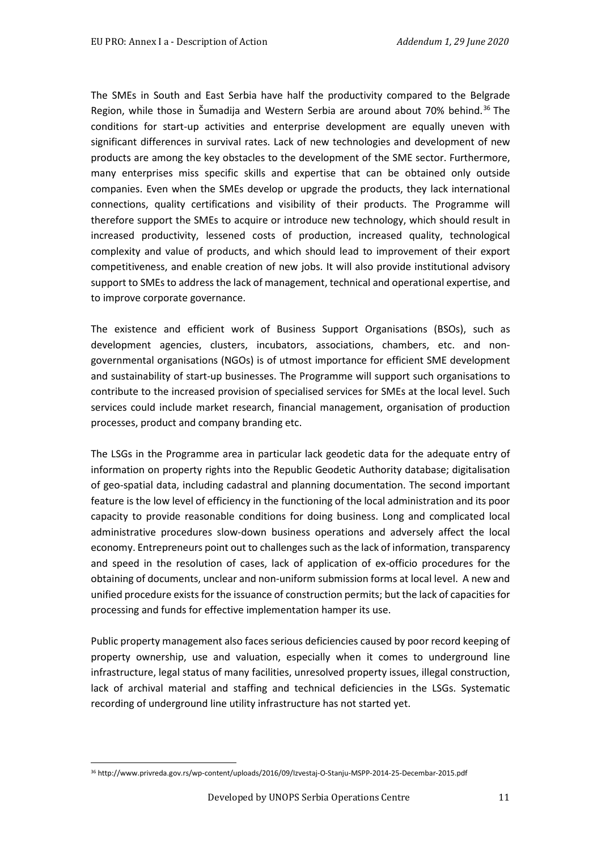The SMEs in South and East Serbia have half the productivity compared to the Belgrade Region, while those in Šumadija and Western Serbia are around about 70% behind.<sup>[36](#page-10-0)</sup> The conditions for start-up activities and enterprise development are equally uneven with significant differences in survival rates. Lack of new technologies and development of new products are among the key obstacles to the development of the SME sector. Furthermore, many enterprises miss specific skills and expertise that can be obtained only outside companies. Even when the SMEs develop or upgrade the products, they lack international connections, quality certifications and visibility of their products. The Programme will therefore support the SMEs to acquire or introduce new technology, which should result in increased productivity, lessened costs of production, increased quality, technological complexity and value of products, and which should lead to improvement of their export competitiveness, and enable creation of new jobs. It will also provide institutional advisory support to SMEs to address the lack of management, technical and operational expertise, and to improve corporate governance.

The existence and efficient work of Business Support Organisations (BSOs), such as development agencies, clusters, incubators, associations, chambers, etc. and nongovernmental organisations (NGOs) is of utmost importance for efficient SME development and sustainability of start-up businesses. The Programme will support such organisations to contribute to the increased provision of specialised services for SMEs at the local level. Such services could include market research, financial management, organisation of production processes, product and company branding etc.

The LSGs in the Programme area in particular lack geodetic data for the adequate entry of information on property rights into the Republic Geodetic Authority database; digitalisation of geo-spatial data, including cadastral and planning documentation. The second important feature is the low level of efficiency in the functioning of the local administration and its poor capacity to provide reasonable conditions for doing business. Long and complicated local administrative procedures slow-down business operations and adversely affect the local economy. Entrepreneurs point out to challenges such as the lack of information, transparency and speed in the resolution of cases, lack of application of ex-officio procedures for the obtaining of documents, unclear and non-uniform submission forms at local level. A new and unified procedure exists for the issuance of construction permits; but the lack of capacities for processing and funds for effective implementation hamper its use.

Public property management also faces serious deficiencies caused by poor record keeping of property ownership, use and valuation, especially when it comes to underground line infrastructure, legal status of many facilities, unresolved property issues, illegal construction, lack of archival material and staffing and technical deficiencies in the LSGs. Systematic recording of underground line utility infrastructure has not started yet.

<span id="page-10-0"></span><sup>36</sup> http://www.privreda.gov.rs/wp-content/uploads/2016/09/Izvestaj-O-Stanju-MSPP-2014-25-Decembar-2015.pdf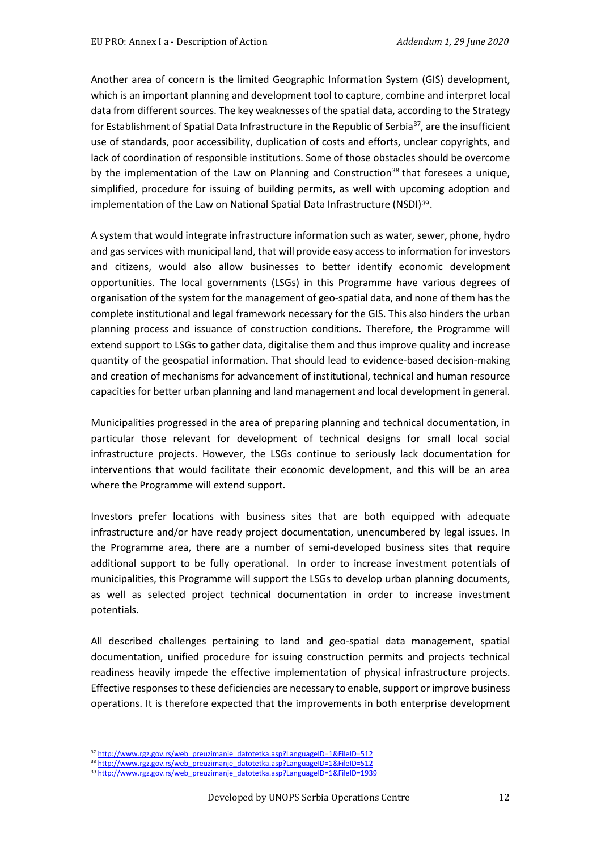Another area of concern is the limited Geographic Information System (GIS) development, which is an important planning and development tool to capture, combine and interpret local data from different sources. The key weaknesses of the spatial data, according to the Strategy for Establishment of Spatial Data Infrastructure in the Republic of Serbia<sup>37</sup>, are the insufficient use of standards, poor accessibility, duplication of costs and efforts, unclear copyrights, and lack of coordination of responsible institutions. Some of those obstacles should be overcome by the implementation of the Law on Planning and Construction<sup>[38](#page-11-1)</sup> that foresees a unique, simplified, procedure for issuing of building permits, as well with upco[m](#page-11-2)ing adoption and implementation of the Law on National Spatial Data Infrastructure (NSDI)39.

A system that would integrate infrastructure information such as water, sewer, phone, hydro and gas services with municipal land, that will provide easy access to information for investors and citizens, would also allow businesses to better identify economic development opportunities. The local governments (LSGs) in this Programme have various degrees of organisation of the system for the management of geo-spatial data, and none of them has the complete institutional and legal framework necessary for the GIS. This also hinders the urban planning process and issuance of construction conditions. Therefore, the Programme will extend support to LSGs to gather data, digitalise them and thus improve quality and increase quantity of the geospatial information. That should lead to evidence-based decision-making and creation of mechanisms for advancement of institutional, technical and human resource capacities for better urban planning and land management and local development in general.

Municipalities progressed in the area of preparing planning and technical documentation, in particular those relevant for development of technical designs for small local social infrastructure projects. However, the LSGs continue to seriously lack documentation for interventions that would facilitate their economic development, and this will be an area where the Programme will extend support.

Investors prefer locations with business sites that are both equipped with adequate infrastructure and/or have ready project documentation, unencumbered by legal issues. In the Programme area, there are a number of semi-developed business sites that require additional support to be fully operational. In order to increase investment potentials of municipalities, this Programme will support the LSGs to develop urban planning documents, as well as selected project technical documentation in order to increase investment potentials.

All described challenges pertaining to land and geo-spatial data management, spatial documentation, unified procedure for issuing construction permits and projects technical readiness heavily impede the effective implementation of physical infrastructure projects. Effective responses to these deficiencies are necessary to enable, support or improve business operations. It is therefore expected that the improvements in both enterprise development

39 [http://www.rgz.gov.rs/web\\_preuzimanje\\_datotetka.asp?LanguageID=1&FileID=1939](http://www.rgz.gov.rs/web_preuzimanje_datotetka.asp?LanguageID=1&FileID=1939)

<sup>37</sup> [http://www.rgz.gov.rs/web\\_preuzimanje\\_datotetka.asp?LanguageID=1&FileID=512](http://www.rgz.gov.rs/web_preuzimanje_datotetka.asp?LanguageID=1&FileID=512)

<span id="page-11-2"></span><span id="page-11-1"></span><span id="page-11-0"></span><sup>38</sup> [http://www.rgz.gov.rs/web\\_preuzimanje\\_datotetka.asp?LanguageID=1&FileID=512](http://www.rgz.gov.rs/web_preuzimanje_datotetka.asp?LanguageID=1&FileID=512)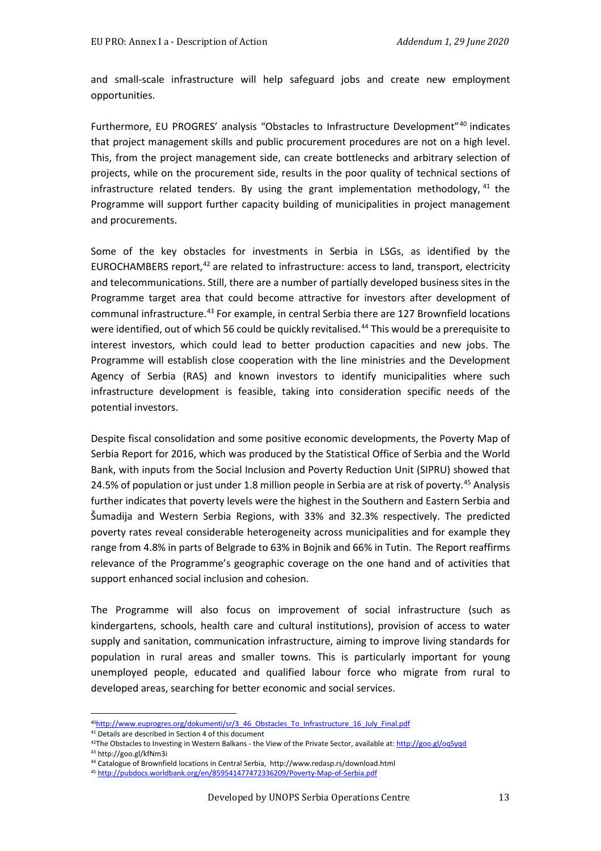and small-scale infrastructure will help safeguard jobs and create new employment opportunities.

Furthermore, EU PROGRES' analysis "Obstacles to Infrastructure Development"[40](#page-12-0) indicates that project management skills and public procurement procedures are not on a high level. This, from the project management side, can create bottlenecks and arbitrary selection of projects, while on the procurement side, results in the poor quality of technical sections of infrastructure related tenders. By using the grant implementation methodology,  $41$  the Programme will support further capacity building of municipalities in project management and procurements.

Some of the key obstacles for investments in Serbia in LSGs, as identified by the EUROCHAMBERS report,<sup>[42](#page-12-2)</sup> are related to infrastructure: access to land, transport, electricity and telecommunications. Still, there are a number of partially developed business sites in the Programme target area that could become attractive for investors after development of communal infrastructure.<sup>[43](#page-12-3)</sup> For example, in central Serbia there are 127 Brownfield locations were identified, out of which 56 could be quickly revitalised.<sup>[44](#page-12-4)</sup> This would be a prerequisite to interest investors, which could lead to better production capacities and new jobs. The Programme will establish close cooperation with the line ministries and the Development Agency of Serbia (RAS) and known investors to identify municipalities where such infrastructure development is feasible, taking into consideration specific needs of the potential investors.

Despite fiscal consolidation and some positive economic developments, the Poverty Map of Serbia Report for 2016, which was produced by the Statistical Office of Serbia and the World Bank, with inputs from the Social Inclusion and Poverty Reduction Unit (SIPRU) showed that 24.5% of population or just under 1.8 million people in Serbia are at risk of poverty.<sup>[45](#page-12-5)</sup> Analysis further indicates that poverty levels were the highest in the Southern and Eastern Serbia and Šumadija and Western Serbia Regions, with 33% and 32.3% respectively. The predicted poverty rates reveal considerable heterogeneity across municipalities and for example they range from 4.8% in parts of Belgrade to 63% in Bojnik and 66% in Tutin. The Report reaffirms relevance of the Programme's geographic coverage on the one hand and of activities that support enhanced social inclusion and cohesion.

The Programme will also focus on improvement of social infrastructure (such as kindergartens, schools, health care and cultural institutions), provision of access to water supply and sanitation, communication infrastructure, aiming to improve living standards for population in rural areas and smaller towns. This is particularly important for young unemployed people, educated and qualified labour force who migrate from rural to developed areas, searching for better economic and social services.

<span id="page-12-3"></span><sup>43</sup> http://goo.gl/kfNm3i

<sup>4</sup>[0http://www.euprogres.org/dokumenti/sr/3\\_46\\_Obstacles\\_To\\_Infrastructure\\_16\\_July\\_Final.pdf](http://www.euprogres.org/dokumenti/sr/3_46_Obstacles_To_Infrastructure_16_July_Final.pdf)

<span id="page-12-2"></span><span id="page-12-1"></span><span id="page-12-0"></span><sup>&</sup>lt;sup>41</sup> Details are described in Section 4 of this document

<sup>&</sup>lt;sup>42</sup>The Obstacles to Investing in Western Balkans - the View of the Private Sector, available at[: http://goo.gl/oqSyqd](http://goo.gl/oqSyqd)

<span id="page-12-5"></span><span id="page-12-4"></span><sup>44</sup> Catalogue of Brownfield locations in Central Serbia, http://www.redasp.rs/download.html

<sup>45</sup> <http://pubdocs.worldbank.org/en/859541477472336209/Poverty-Map-of-Serbia.pdf>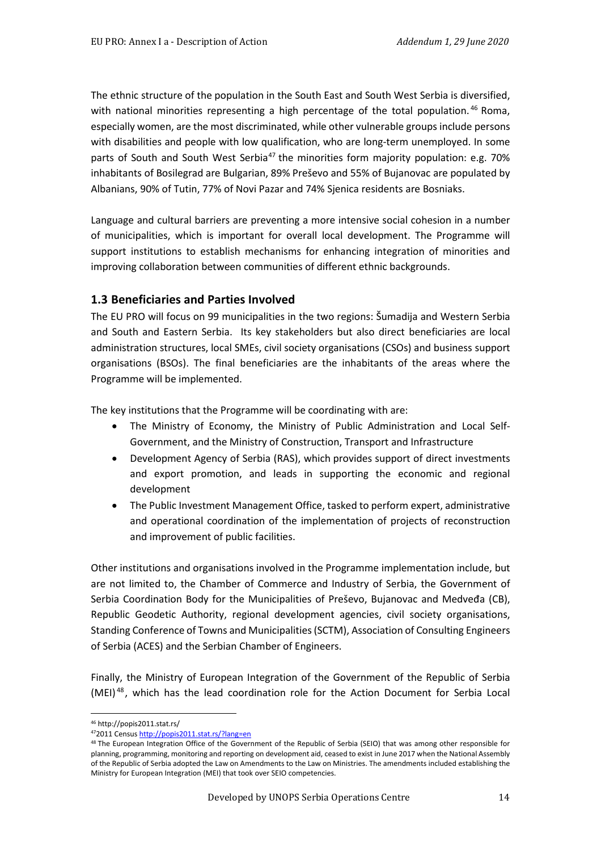The ethnic structure of the population in the South East and South West Serbia is diversified, with national minorities representing a high percentage of the total population.<sup>[46](#page-13-0)</sup> Roma, especially women, are the most discriminated, while other vulnerable groups include persons with disabilities and people with low qualification, who are long-term unemployed. In some parts of South and South West Serbia<sup>[47](#page-13-1)</sup> the minorities form majority population: e.g. 70% inhabitants of Bosilegrad are Bulgarian, 89% Preševo and 55% of Bujanovac are populated by Albanians, 90% of Tutin, 77% of Novi Pazar and 74% Sjenica residents are Bosniaks.

Language and cultural barriers are preventing a more intensive social cohesion in a number of municipalities, which is important for overall local development. The Programme will support institutions to establish mechanisms for enhancing integration of minorities and improving collaboration between communities of different ethnic backgrounds.

#### **1.3 Beneficiaries and Parties Involved**

The EU PRO will focus on 99 municipalities in the two regions: Šumadija and Western Serbia and South and Eastern Serbia. Its key stakeholders but also direct beneficiaries are local administration structures, local SMEs, civil society organisations (CSOs) and business support organisations (BSOs). The final beneficiaries are the inhabitants of the areas where the Programme will be implemented.

The key institutions that the Programme will be coordinating with are:

- The Ministry of Economy, the Ministry of Public Administration and Local Self-Government, and the Ministry of Construction, Transport and Infrastructure
- Development Agency of Serbia (RAS), which provides support of direct investments and export promotion, and leads in supporting the economic and regional development
- The Public Investment Management Office, tasked to perform expert, administrative and operational coordination of the implementation of projects of reconstruction and improvement of public facilities.

Other institutions and organisations involved in the Programme implementation include, but are not limited to, the Chamber of Commerce and Industry of Serbia, the Government of Serbia Coordination Body for the Municipalities of Preševo, Bujanovac and Medveđa (CB), Republic Geodetic Authority, regional development agencies, civil society organisations, Standing Conference of Towns and Municipalities (SCTM), Association of Consulting Engineers of Serbia (ACES) and the Serbian Chamber of Engineers.

Finally, the Ministry of European Integration of the Government of the Republic of Serbia (MEI) [48](#page-13-2) , which has the lead coordination role for the Action Document for Serbia Local

<sup>46</sup> http://popis2011.stat.rs/

<span id="page-13-1"></span><span id="page-13-0"></span><sup>472011</sup> Censu[s http://popis2011.stat.rs/?lang=en](http://popis2011.stat.rs/?lang=en)

<span id="page-13-2"></span><sup>&</sup>lt;sup>48</sup> The European Integration Office of the Government of the Republic of Serbia (SEIO) that was among other responsible for planning, programming, monitoring and reporting on development aid, ceased to exist in June 2017 when the National Assembly of the Republic of Serbia adopted the Law on Amendments to the Law on Ministries. The amendments included establishing the Ministry for European Integration (MEI) that took over SEIO competencies.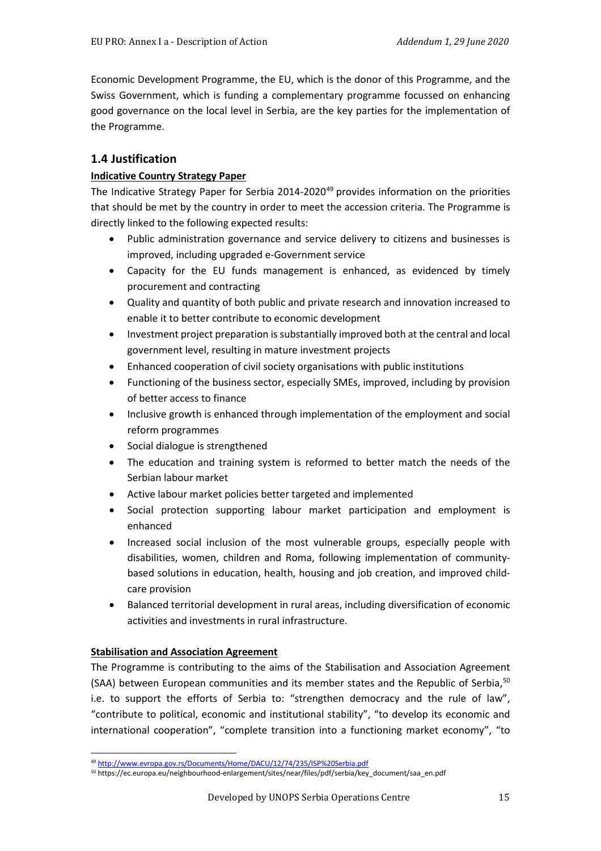Economic Development Programme, the EU, which is the donor of this Programme, and the Swiss Government, which is funding a complementary programme focussed on enhancing good governance on the local level in Serbia, are the key parties for the implementation of the Programme.

## **1.4 Justification**

#### **Indicative Country Strategy Paper**

The Indicative Strategy Paper for Serbia 2014-2020<sup>[49](#page-14-0)</sup> provides information on the priorities that should be met by the country in order to meet the accession criteria. The Programme is directly linked to the following expected results:

- Public administration governance and service delivery to citizens and businesses is improved, including upgraded e-Government service
- Capacity for the EU funds management is enhanced, as evidenced by timely procurement and contracting
- Quality and quantity of both public and private research and innovation increased to enable it to better contribute to economic development
- Investment project preparation is substantially improved both at the central and local government level, resulting in mature investment projects
- Enhanced cooperation of civil society organisations with public institutions
- Functioning of the business sector, especially SMEs, improved, including by provision of better access to finance
- Inclusive growth is enhanced through implementation of the employment and social reform programmes
- Social dialogue is strengthened
- The education and training system is reformed to better match the needs of the Serbian labour market
- Active labour market policies better targeted and implemented
- Social protection supporting labour market participation and employment is enhanced
- Increased social inclusion of the most vulnerable groups, especially people with disabilities, women, children and Roma, following implementation of communitybased solutions in education, health, housing and job creation, and improved childcare provision
- Balanced territorial development in rural areas, including diversification of economic activities and investments in rural infrastructure.

#### **Stabilisation and Association Agreement**

The Programme is contributing to the aims of the Stabilisation and Association Agreement (SAA) between European communities and its member states and the Republic of Serbia,<sup>[50](#page-14-1)</sup> i.e. to support the efforts of Serbia to: "strengthen democracy and the rule of law", "contribute to political, economic and institutional stability", "to develop its economic and international cooperation", "complete transition into a functioning market economy", "to

<span id="page-14-0"></span><sup>49</sup> <http://www.evropa.gov.rs/Documents/Home/DACU/12/74/235/ISP%20Serbia.pdf>

<span id="page-14-1"></span><sup>50</sup> https://ec.europa.eu/neighbourhood-enlargement/sites/near/files/pdf/serbia/key\_document/saa\_en.pdf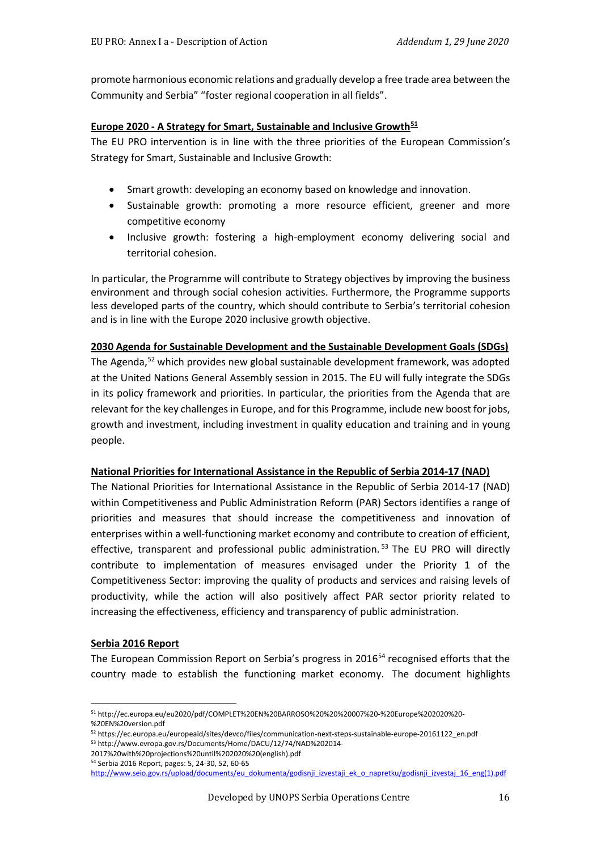promote harmonious economic relations and gradually develop a free trade area between the Community and Serbia" "foster regional cooperation in all fields".

#### **Europe 2020 - A Strategy for Smart, Sustainable and Inclusive Growth[51](#page-15-0)**

The EU PRO intervention is in line with the three priorities of the European Commission's Strategy for Smart, Sustainable and Inclusive Growth:

- Smart growth: developing an economy based on knowledge and innovation.
- Sustainable growth: promoting a more resource efficient, greener and more competitive economy
- Inclusive growth: fostering a high-employment economy delivering social and territorial cohesion.

In particular, the Programme will contribute to Strategy objectives by improving the business environment and through social cohesion activities. Furthermore, the Programme supports less developed parts of the country, which should contribute to Serbia's territorial cohesion and is in line with the Europe 2020 inclusive growth objective.

#### **2030 Agenda for Sustainable Development and the Sustainable Development Goals (SDGs)**

The Agenda, [52](#page-15-1) which provides new global sustainable development framework, was adopted at the United Nations General Assembly session in 2015. The EU will fully integrate the SDGs in its policy framework and priorities. In particular, the priorities from the Agenda that are relevant for the key challenges in Europe, and for this Programme, include new boost for jobs, growth and investment, including investment in quality education and training and in young people.

#### **National Priorities for International Assistance in the Republic of Serbia 2014-17 (NAD)**

The National Priorities for International Assistance in the Republic of Serbia 2014-17 (NAD) within Competitiveness and Public Administration Reform (PAR) Sectors identifies a range of priorities and measures that should increase the competitiveness and innovation of enterprises within a well-functioning market economy and contribute to creation of efficient, effective, transparent and professional public administration.<sup>[53](#page-15-2)</sup> The EU PRO will directly contribute to implementation of measures envisaged under the Priority 1 of the Competitiveness Sector: improving the quality of products and services and raising levels of productivity, while the action will also positively affect PAR sector priority related to increasing the effectiveness, efficiency and transparency of public administration.

#### **Serbia 2016 Report**

The European Commission Report on Serbia's progress in 2016<sup>[54](#page-15-3)</sup> recognised efforts that the country made to establish the functioning market economy. The document highlights

<span id="page-15-0"></span><sup>51</sup> http://ec.europa.eu/eu2020/pdf/COMPLET%20EN%20BARROSO%20%20%20007%20-%20Europe%202020%20- %20EN%20version.pdf

<span id="page-15-2"></span><span id="page-15-1"></span><sup>52</sup> https://ec.europa.eu/europeaid/sites/devco/files/communication-next-steps-sustainable-europe-20161122\_en.pdf <sup>53</sup> http://www.evropa.gov.rs/Documents/Home/DACU/12/74/NAD%202014-

<sup>2017%20</sup>with%20projections%20until%202020%20(english).pdf <sup>54</sup> Serbia 2016 Report, pages: 5, 24-30, 52, 60-65

<span id="page-15-3"></span>http://www.seio.gov.rs/upload/documents/eu\_dokumenta/godisnji\_izvestaji\_ek\_o\_napretku/godisnji\_izvestaj\_16\_eng(1).pdf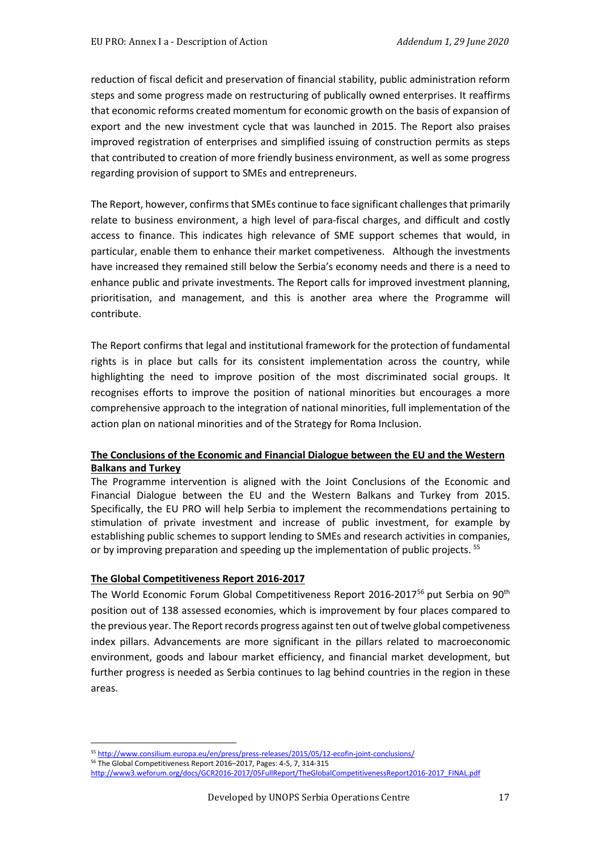reduction of fiscal deficit and preservation of financial stability, public administration reform steps and some progress made on restructuring of publically owned enterprises. It reaffirms that economic reforms created momentum for economic growth on the basis of expansion of export and the new investment cycle that was launched in 2015. The Report also praises improved registration of enterprises and simplified issuing of construction permits as steps that contributed to creation of more friendly business environment, as well as some progress regarding provision of support to SMEs and entrepreneurs.

The Report, however, confirms that SMEs continue to face significant challenges that primarily relate to business environment, a high level of para-fiscal charges, and difficult and costly access to finance. This indicates high relevance of SME support schemes that would, in particular, enable them to enhance their market competiveness. Although the investments have increased they remained still below the Serbia's economy needs and there is a need to enhance public and private investments. The Report calls for improved investment planning, prioritisation, and management, and this is another area where the Programme will contribute.

The Report confirms that legal and institutional framework for the protection of fundamental rights is in place but calls for its consistent implementation across the country, while highlighting the need to improve position of the most discriminated social groups. It recognises efforts to improve the position of national minorities but encourages a more comprehensive approach to the integration of national minorities, full implementation of the action plan on national minorities and of the Strategy for Roma Inclusion.

#### **The Conclusions of the Economic and Financial Dialogue between the EU and the Western Balkans and Turkey**

The Programme intervention is aligned with the Joint Conclusions of the Economic and Financial Dialogue between the EU and the Western Balkans and Turkey from 2015. Specifically, the EU PRO will help Serbia to implement the recommendations pertaining to stimulation of private investment and increase of public investment, for example by establishing public schemes to support lending to SMEs and research activities in companies, or by improving preparation and speeding up the implementation of public projects. <sup>[55](#page-16-0)</sup>

#### **The Global Competitiveness Report 2016-2017**

The World Economic Forum Global Competitiveness Report 2016-2017[56](#page-16-1) put Serbia on 90th position out of 138 assessed economies, which is improvement by four places compared to the previous year. The Report records progress against ten out of twelve global competiveness index pillars. Advancements are more significant in the pillars related to macroeconomic environment, goods and labour market efficiency, and financial market development, but further progress is needed as Serbia continues to lag behind countries in the region in these areas.

<sup>55</sup> <http://www.consilium.europa.eu/en/press/press-releases/2015/05/12-ecofin-joint-conclusions/>

<span id="page-16-1"></span><span id="page-16-0"></span><sup>56</sup> The Global Competitiveness Report 2016–2017, Pages: 4-5, 7, 314-315

[http://www3.weforum.org/docs/GCR2016-2017/05FullReport/TheGlobalCompetitivenessReport2016-2017\\_FINAL.pdf](http://www3.weforum.org/docs/GCR2016-2017/05FullReport/TheGlobalCompetitivenessReport2016-2017_FINAL.pdf)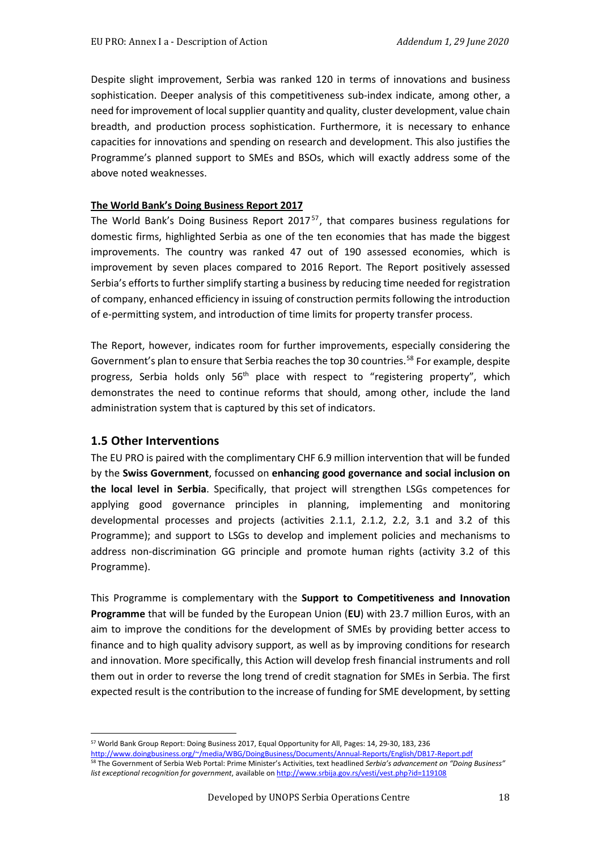Despite slight improvement, Serbia was ranked 120 in terms of innovations and business sophistication. Deeper analysis of this competitiveness sub-index indicate, among other, a need for improvement of local supplier quantity and quality, cluster development, value chain breadth, and production process sophistication. Furthermore, it is necessary to enhance capacities for innovations and spending on research and development. This also justifies the Programme's planned support to SMEs and BSOs, which will exactly address some of the above noted weaknesses.

#### **The World Bank's Doing Business Report 2017**

The World Bank's Doing Business Report 2017[57](#page-17-0), that compares business regulations for domestic firms, highlighted Serbia as one of the ten economies that has made the biggest improvements. The country was ranked 47 out of 190 assessed economies, which is improvement by seven places compared to 2016 Report. The Report positively assessed Serbia's efforts to further simplify starting a business by reducing time needed for registration of company, enhanced efficiency in issuing of construction permits following the introduction of e-permitting system, and introduction of time limits for property transfer process.

The Report, however, indicates room for further improvements, especially considering the Government's plan to ensure that Serbia reaches the top 30 countries.<sup>[58](#page-17-1)</sup> For example, despite progress, Serbia holds only  $56<sup>th</sup>$  place with respect to "registering property", which demonstrates the need to continue reforms that should, among other, include the land administration system that is captured by this set of indicators.

#### **1.5 Other Interventions**

The EU PRO is paired with the complimentary CHF 6.9 million intervention that will be funded by the **Swiss Government**, focussed on **enhancing good governance and social inclusion on the local level in Serbia**. Specifically, that project will strengthen LSGs competences for applying good governance principles in planning, implementing and monitoring developmental processes and projects (activities 2.1.1, 2.1.2, 2.2, 3.1 and 3.2 of this Programme); and support to LSGs to develop and implement policies and mechanisms to address non-discrimination GG principle and promote human rights (activity 3.2 of this Programme).

This Programme is complementary with the **Support to Competitiveness and Innovation Programme** that will be funded by the European Union (**EU**) with 23.7 million Euros, with an aim to improve the conditions for the development of SMEs by providing better access to finance and to high quality advisory support, as well as by improving conditions for research and innovation. More specifically, this Action will develop fresh financial instruments and roll them out in order to reverse the long trend of credit stagnation for SMEs in Serbia. The first expected result is the contribution to the increase of funding for SME development, by setting

<span id="page-17-0"></span><sup>57</sup> World Bank Group Report: Doing Business 2017, Equal Opportunity for All, Pages: 14, 29-30, 183, 236 [http://www.doingbusiness.org/~/media/WBG/DoingBusiness/Documents/Annual-Reports/English/DB17-Report.pdf](http://www.doingbusiness.org/%7E/media/WBG/DoingBusiness/Documents/Annual-Reports/English/DB17-Report.pdf)

<span id="page-17-1"></span><sup>58</sup> The Government of Serbia Web Portal: Prime Minister's Activities, text headlined *Serbia's advancement on "Doing Business" list exceptional recognition for government*, available o[n http://www.srbija.gov.rs/vesti/vest.php?id=119108](http://www.srbija.gov.rs/vesti/vest.php?id=119108)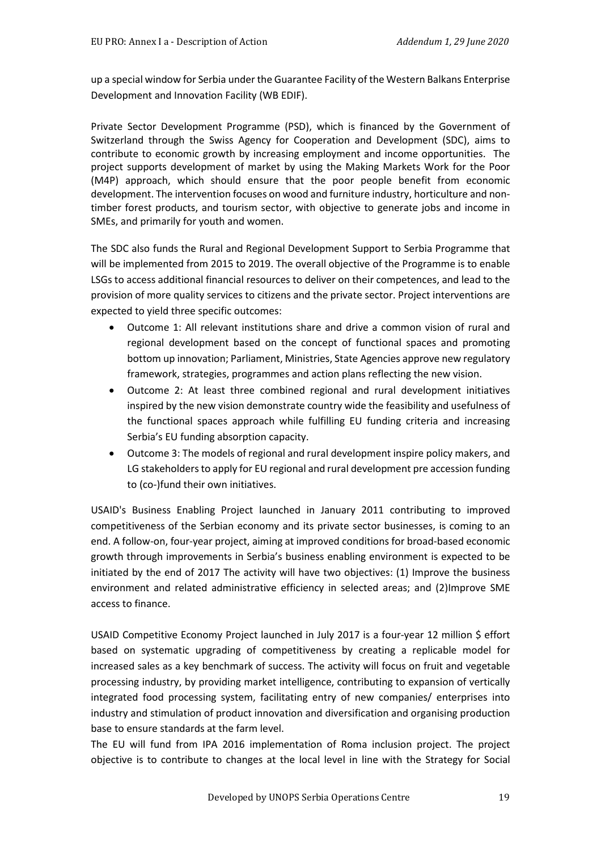up a special window for Serbia under the Guarantee Facility of the Western Balkans Enterprise Development and Innovation Facility (WB EDIF).

Private Sector Development Programme (PSD), which is financed by the Government of Switzerland through the Swiss Agency for Cooperation and Development (SDC), aims to contribute to economic growth by increasing employment and income opportunities. The project supports development of market by using the Making Markets Work for the Poor (M4P) approach, which should ensure that the poor people benefit from economic development. The intervention focuses on wood and furniture industry, horticulture and nontimber forest products, and tourism sector, with objective to generate jobs and income in SMEs, and primarily for youth and women.

The SDC also funds the Rural and Regional Development Support to Serbia Programme that will be implemented from 2015 to 2019. The overall objective of the Programme is to enable LSGs to access additional financial resources to deliver on their competences, and lead to the provision of more quality services to citizens and the private sector. Project interventions are expected to yield three specific outcomes:

- Outcome 1: All relevant institutions share and drive a common vision of rural and regional development based on the concept of functional spaces and promoting bottom up innovation; Parliament, Ministries, State Agencies approve new regulatory framework, strategies, programmes and action plans reflecting the new vision.
- Outcome 2: At least three combined regional and rural development initiatives inspired by the new vision demonstrate country wide the feasibility and usefulness of the functional spaces approach while fulfilling EU funding criteria and increasing Serbia's EU funding absorption capacity.
- Outcome 3: The models of regional and rural development inspire policy makers, and LG stakeholders to apply for EU regional and rural development pre accession funding to (co-)fund their own initiatives.

USAID's Business Enabling Project launched in January 2011 contributing to improved competitiveness of the Serbian economy and its private sector businesses, is coming to an end. A follow-on, four-year project, aiming at improved conditions for broad-based economic growth through improvements in Serbia's business enabling environment is expected to be initiated by the end of 2017 The activity will have two objectives: (1) Improve the business environment and related administrative efficiency in selected areas; and (2)Improve SME access to finance.

USAID Competitive Economy Project launched in July 2017 is a four-year 12 million \$ effort based on systematic upgrading of competitiveness by creating a replicable model for increased sales as a key benchmark of success. The activity will focus on fruit and vegetable processing industry, by providing market intelligence, contributing to expansion of vertically integrated food processing system, facilitating entry of new companies/ enterprises into industry and stimulation of product innovation and diversification and organising production base to ensure standards at the farm level.

The EU will fund from IPA 2016 implementation of Roma inclusion project. The project objective is to contribute to changes at the local level in line with the Strategy for Social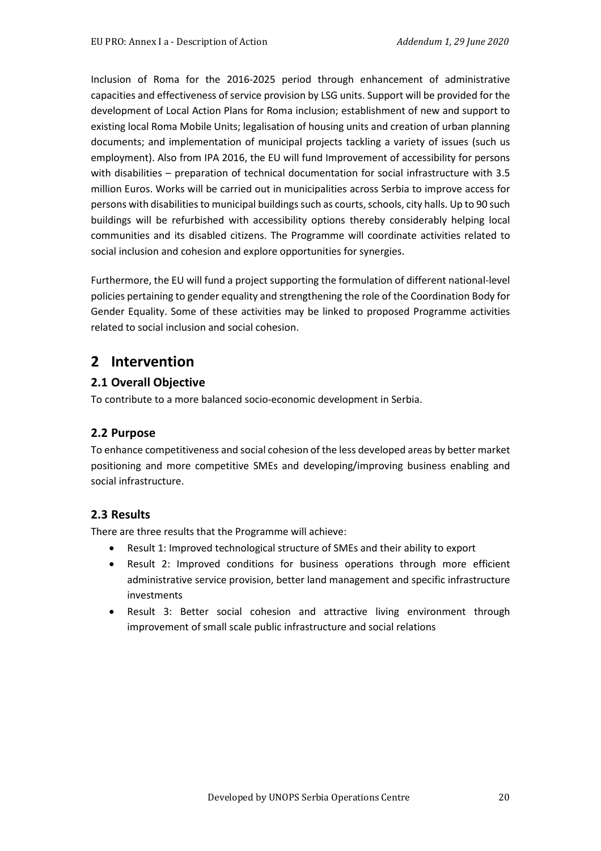Inclusion of Roma for the 2016-2025 period through enhancement of administrative capacities and effectiveness of service provision by LSG units. Support will be provided for the development of Local Action Plans for Roma inclusion; establishment of new and support to existing local Roma Mobile Units; legalisation of housing units and creation of urban planning documents; and implementation of municipal projects tackling a variety of issues (such us employment). Also from IPA 2016, the EU will fund Improvement of accessibility for persons with disabilities – preparation of technical documentation for social infrastructure with 3.5 million Euros. Works will be carried out in municipalities across Serbia to improve access for persons with disabilities to municipal buildings such as courts, schools, city halls. Up to 90 such buildings will be refurbished with accessibility options thereby considerably helping local communities and its disabled citizens. The Programme will coordinate activities related to social inclusion and cohesion and explore opportunities for synergies.

Furthermore, the EU will fund a project supporting the formulation of different national-level policies pertaining to gender equality and strengthening the role of the Coordination Body for Gender Equality. Some of these activities may be linked to proposed Programme activities related to social inclusion and social cohesion.

# **2 Intervention**

## **2.1 Overall Objective**

To contribute to a more balanced socio-economic development in Serbia.

## **2.2 Purpose**

To enhance competitiveness and social cohesion of the less developed areas by better market positioning and more competitive SMEs and developing/improving business enabling and social infrastructure.

#### **2.3 Results**

There are three results that the Programme will achieve:

- Result 1: Improved technological structure of SMEs and their ability to export
- Result 2: Improved conditions for business operations through more efficient administrative service provision, better land management and specific infrastructure investments
- Result 3: Better social cohesion and attractive living environment through improvement of small scale public infrastructure and social relations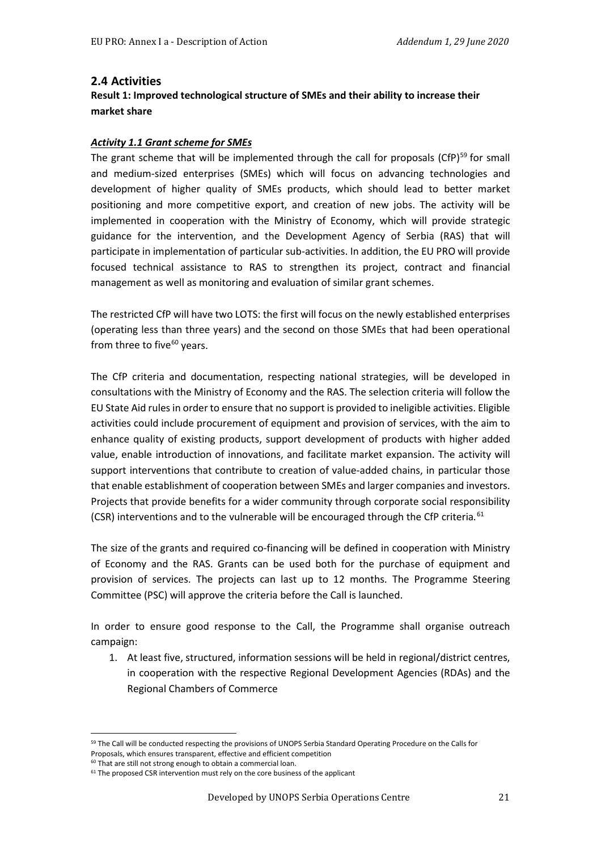#### **2.4 Activities**

### **Result 1: Improved technological structure of SMEs and their ability to increase their market share**

#### *Activity 1.1 Grant scheme for SMEs*

The grant scheme that will be implemented through the call for proposals (CfP) $^{59}$  $^{59}$  $^{59}$  for small and medium-sized enterprises (SMEs) which will focus on advancing technologies and development of higher quality of SMEs products, which should lead to better market positioning and more competitive export, and creation of new jobs. The activity will be implemented in cooperation with the Ministry of Economy, which will provide strategic guidance for the intervention, and the Development Agency of Serbia (RAS) that will participate in implementation of particular sub-activities. In addition, the EU PRO will provide focused technical assistance to RAS to strengthen its project, contract and financial management as well as monitoring and evaluation of similar grant schemes.

The restricted CfP will have two LOTS: the first will focus on the newly established enterprises (operating less than three years) and the second on those SMEs that had been operational from three to five $60$  years.

The CfP criteria and documentation, respecting national strategies, will be developed in consultations with the Ministry of Economy and the RAS. The selection criteria will follow the EU State Aid rules in order to ensure that no support is provided to ineligible activities. Eligible activities could include procurement of equipment and provision of services, with the aim to enhance quality of existing products, support development of products with higher added value, enable introduction of innovations, and facilitate market expansion. The activity will support interventions that contribute to creation of value-added chains, in particular those that enable establishment of cooperation between SMEs and larger companies and investors. Projects that provide benefits for a wider community through corporate social responsibility (CSR) interventions and to the vulnerable will be encouraged through the CfP criteria*.* [61](#page-20-2)

The size of the grants and required co-financing will be defined in cooperation with Ministry of Economy and the RAS. Grants can be used both for the purchase of equipment and provision of services. The projects can last up to 12 months. The Programme Steering Committee (PSC) will approve the criteria before the Call is launched.

In order to ensure good response to the Call, the Programme shall organise outreach campaign:

1. At least five, structured, information sessions will be held in regional/district centres, in cooperation with the respective Regional Development Agencies (RDAs) and the Regional Chambers of Commerce

<span id="page-20-0"></span><sup>59</sup> The Call will be conducted respecting the provisions of UNOPS Serbia Standard Operating Procedure on the Calls for Proposals, which ensures transparent, effective and efficient competition

<sup>&</sup>lt;sup>60</sup> That are still not strong enough to obtain a commercial loan.

<span id="page-20-2"></span><span id="page-20-1"></span> $61$  The proposed CSR intervention must rely on the core business of the applicant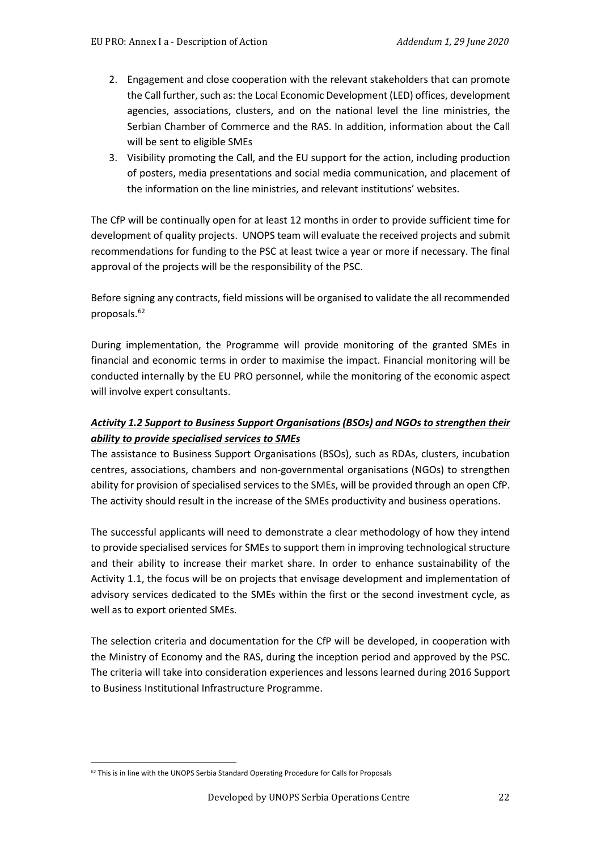- 2. Engagement and close cooperation with the relevant stakeholders that can promote the Call further, such as: the Local Economic Development (LED) offices, development agencies, associations, clusters, and on the national level the line ministries, the Serbian Chamber of Commerce and the RAS. In addition, information about the Call will be sent to eligible SMEs
- 3. Visibility promoting the Call, and the EU support for the action, including production of posters, media presentations and social media communication, and placement of the information on the line ministries, and relevant institutions' websites.

The CfP will be continually open for at least 12 months in order to provide sufficient time for development of quality projects. UNOPS team will evaluate the received projects and submit recommendations for funding to the PSC at least twice a year or more if necessary. The final approval of the projects will be the responsibility of the PSC.

Before signing any contracts, field missions will be organised to validate the all recommended proposals.<sup>[62](#page-21-0)</sup>

During implementation, the Programme will provide monitoring of the granted SMEs in financial and economic terms in order to maximise the impact. Financial monitoring will be conducted internally by the EU PRO personnel, while the monitoring of the economic aspect will involve expert consultants.

# *Activity 1.2 Support to Business Support Organisations (BSOs) and NGOs to strengthen their ability to provide specialised services to SMEs*

The assistance to Business Support Organisations (BSOs), such as RDAs, clusters, incubation centres, associations, chambers and non-governmental organisations (NGOs) to strengthen ability for provision of specialised services to the SMEs, will be provided through an open CfP. The activity should result in the increase of the SMEs productivity and business operations.

The successful applicants will need to demonstrate a clear methodology of how they intend to provide specialised services for SMEs to support them in improving technological structure and their ability to increase their market share. In order to enhance sustainability of the Activity 1.1, the focus will be on projects that envisage development and implementation of advisory services dedicated to the SMEs within the first or the second investment cycle, as well as to export oriented SMEs.

The selection criteria and documentation for the CfP will be developed, in cooperation with the Ministry of Economy and the RAS, during the inception period and approved by the PSC. The criteria will take into consideration experiences and lessons learned during 2016 Support to Business Institutional Infrastructure Programme.

<span id="page-21-0"></span><sup>&</sup>lt;sup>62</sup> This is in line with the UNOPS Serbia Standard Operating Procedure for Calls for Proposals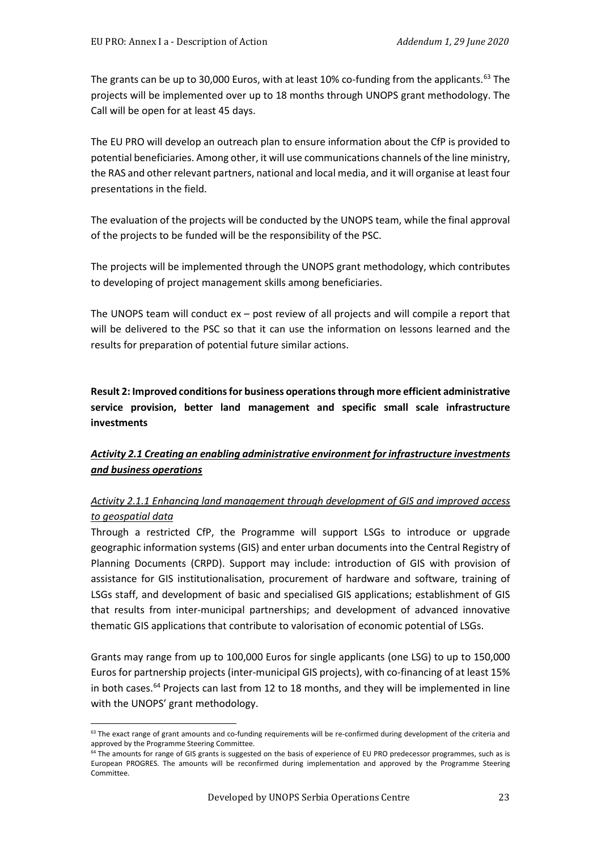The grants can be up to 30,000 Euros, with at least 10% co-funding from the applicants. [63](#page-22-0) The projects will be implemented over up to 18 months through UNOPS grant methodology. The Call will be open for at least 45 days.

The EU PRO will develop an outreach plan to ensure information about the CfP is provided to potential beneficiaries. Among other, it will use communications channels of the line ministry, the RAS and other relevant partners, national and local media, and it will organise at least four presentations in the field.

The evaluation of the projects will be conducted by the UNOPS team, while the final approval of the projects to be funded will be the responsibility of the PSC.

The projects will be implemented through the UNOPS grant methodology, which contributes to developing of project management skills among beneficiaries.

The UNOPS team will conduct ex – post review of all projects and will compile a report that will be delivered to the PSC so that it can use the information on lessons learned and the results for preparation of potential future similar actions.

**Result 2: Improved conditions for business operations through more efficient administrative service provision, better land management and specific small scale infrastructure investments** 

## *Activity 2.1 Creating an enabling administrative environment for infrastructure investments and business operations*

## *Activity 2.1.1 Enhancing land management through development of GIS and improved access to geospatial data*

Through a restricted CfP, the Programme will support LSGs to introduce or upgrade geographic information systems (GIS) and enter urban documents into the Central Registry of Planning Documents (CRPD). Support may include: introduction of GIS with provision of assistance for GIS institutionalisation, procurement of hardware and software, training of LSGs staff, and development of basic and specialised GIS applications; establishment of GIS that results from inter-municipal partnerships; and development of advanced innovative thematic GIS applications that contribute to valorisation of economic potential of LSGs.

Grants may range from up to 100,000 Euros for single applicants (one LSG) to up to 150,000 Euros for partnership projects (inter-municipal GIS projects), with co-financing of at least 15% in both cases.<sup>[64](#page-22-1)</sup> Projects can last from 12 to 18 months, and they will be implemented in line with the UNOPS' grant methodology.

<span id="page-22-0"></span><sup>&</sup>lt;sup>63</sup> The exact range of grant amounts and co-funding requirements will be re-confirmed during development of the criteria and approved by the Programme Steering Committee.

<span id="page-22-1"></span><sup>&</sup>lt;sup>64</sup> The amounts for range of GIS grants is suggested on the basis of experience of EU PRO predecessor programmes, such as is European PROGRES. The amounts will be reconfirmed during implementation and approved by the Programme Steering Committee.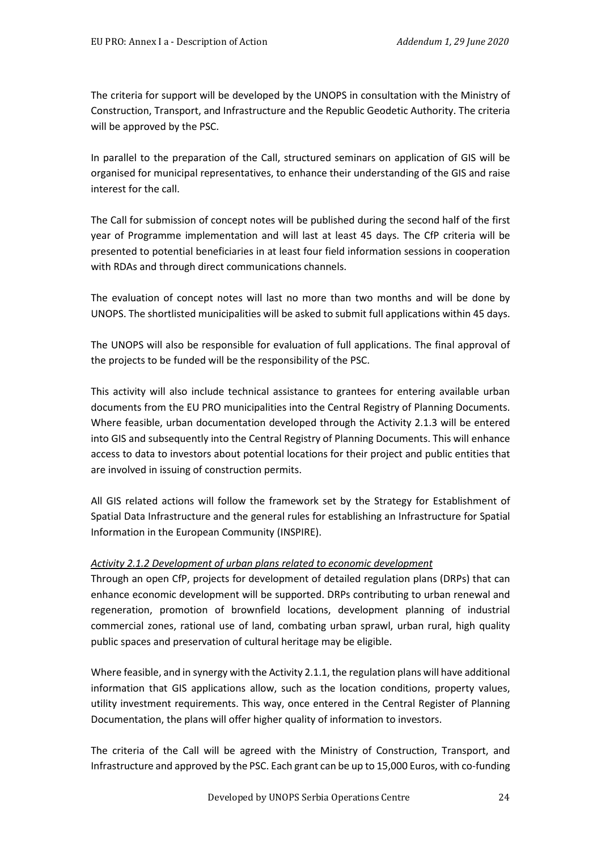The criteria for support will be developed by the UNOPS in consultation with the Ministry of Construction, Transport, and Infrastructure and the Republic Geodetic Authority. The criteria will be approved by the PSC.

In parallel to the preparation of the Call, structured seminars on application of GIS will be organised for municipal representatives, to enhance their understanding of the GIS and raise interest for the call.

The Call for submission of concept notes will be published during the second half of the first year of Programme implementation and will last at least 45 days. The CfP criteria will be presented to potential beneficiaries in at least four field information sessions in cooperation with RDAs and through direct communications channels.

The evaluation of concept notes will last no more than two months and will be done by UNOPS. The shortlisted municipalities will be asked to submit full applications within 45 days.

The UNOPS will also be responsible for evaluation of full applications. The final approval of the projects to be funded will be the responsibility of the PSC.

This activity will also include technical assistance to grantees for entering available urban documents from the EU PRO municipalities into the Central Registry of Planning Documents. Where feasible, urban documentation developed through the Activity 2.1.3 will be entered into GIS and subsequently into the Central Registry of Planning Documents. This will enhance access to data to investors about potential locations for their project and public entities that are involved in issuing of construction permits.

All GIS related actions will follow the framework set by the Strategy for Establishment of Spatial Data Infrastructure and the general rules for establishing an Infrastructure for Spatial Information in the European Community (INSPIRE).

#### *Activity 2.1.2 Development of urban plans related to economic development*

Through an open CfP, projects for development of detailed regulation plans (DRPs) that can enhance economic development will be supported. DRPs contributing to urban renewal and regeneration, promotion of brownfield locations, development planning of industrial commercial zones, rational use of land, combating urban sprawl, urban rural, high quality public spaces and preservation of cultural heritage may be eligible.

Where feasible, and in synergy with the Activity 2.1.1, the regulation plans will have additional information that GIS applications allow, such as the location conditions, property values, utility investment requirements. This way, once entered in the Central Register of Planning Documentation, the plans will offer higher quality of information to investors.

The criteria of the Call will be agreed with the Ministry of Construction, Transport, and Infrastructure and approved by the PSC. Each grant can be up to 15,000 Euros, with co-funding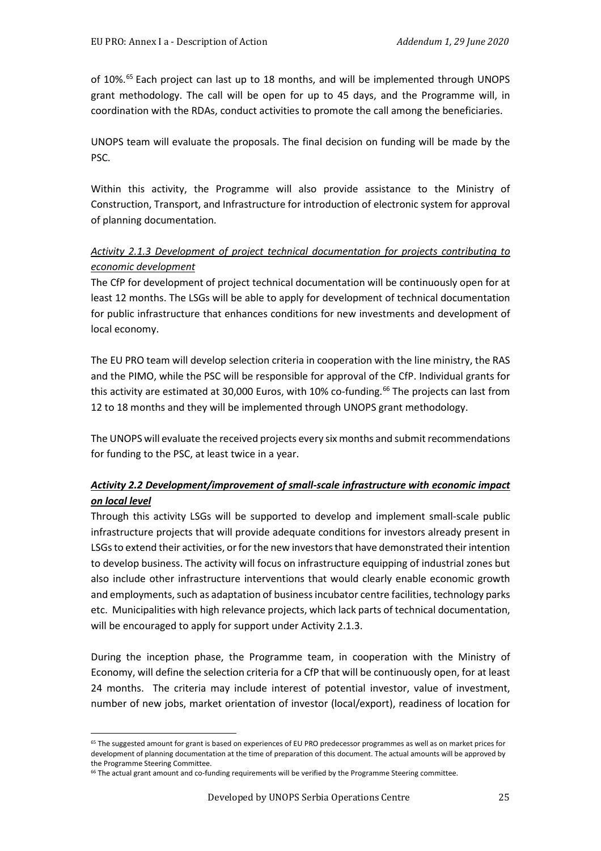of 10%.<sup>[65](#page-24-0)</sup> Each project can last up to 18 months, and will be implemented through UNOPS grant methodology. The call will be open for up to 45 days, and the Programme will, in coordination with the RDAs, conduct activities to promote the call among the beneficiaries.

UNOPS team will evaluate the proposals. The final decision on funding will be made by the PSC.

Within this activity, the Programme will also provide assistance to the Ministry of Construction, Transport, and Infrastructure for introduction of electronic system for approval of planning documentation.

# *Activity 2.1.3 Development of project technical documentation for projects contributing to economic development*

The CfP for development of project technical documentation will be continuously open for at least 12 months. The LSGs will be able to apply for development of technical documentation for public infrastructure that enhances conditions for new investments and development of local economy.

The EU PRO team will develop selection criteria in cooperation with the line ministry, the RAS and the PIMO, while the PSC will be responsible for approval of the CfP. Individual grants for this activity are estimated at 30,000 Euros, with 10% co-funding.<sup>[66](#page-24-1)</sup> The projects can last from 12 to 18 months and they will be implemented through UNOPS grant methodology.

The UNOPS will evaluate the received projects every six months and submit recommendations for funding to the PSC, at least twice in a year.

# *Activity 2.2 Development/improvement of small-scale infrastructure with economic impact on local level*

Through this activity LSGs will be supported to develop and implement small-scale public infrastructure projects that will provide adequate conditions for investors already present in LSGsto extend their activities, or for the new investors that have demonstrated their intention to develop business. The activity will focus on infrastructure equipping of industrial zones but also include other infrastructure interventions that would clearly enable economic growth and employments, such as adaptation of business incubator centre facilities, technology parks etc. Municipalities with high relevance projects, which lack parts of technical documentation, will be encouraged to apply for support under Activity 2.1.3.

During the inception phase, the Programme team, in cooperation with the Ministry of Economy, will define the selection criteria for a CfP that will be continuously open, for at least 24 months. The criteria may include interest of potential investor, value of investment, number of new jobs, market orientation of investor (local/export), readiness of location for

<span id="page-24-0"></span><sup>&</sup>lt;sup>65</sup> The suggested amount for grant is based on experiences of EU PRO predecessor programmes as well as on market prices for development of planning documentation at the time of preparation of this document. The actual amounts will be approved by the Programme Steering Committee.

<span id="page-24-1"></span><sup>&</sup>lt;sup>66</sup> The actual grant amount and co-funding requirements will be verified by the Programme Steering committee.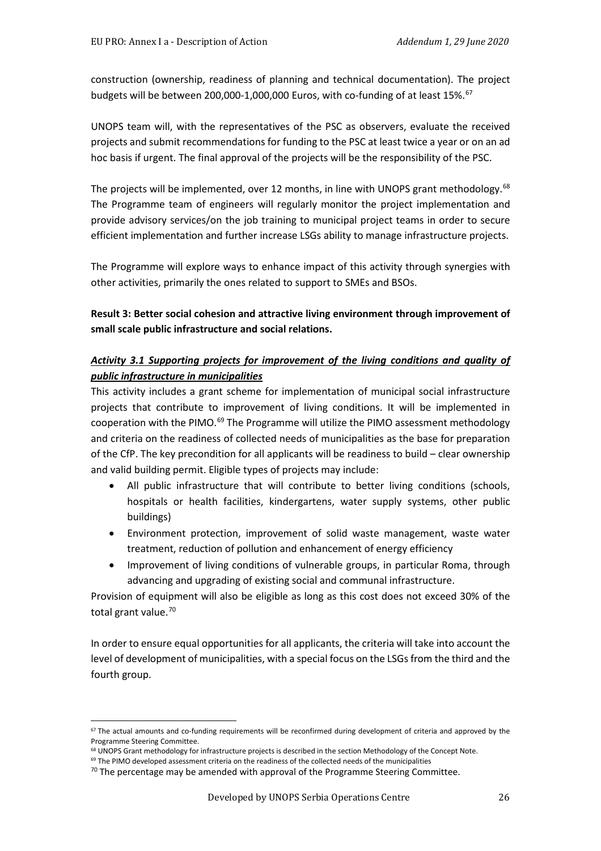construction (ownership, readiness of planning and technical documentation). The project budgets will be between 200,000-1,000,000 Euros, with co-funding of at least 15%.<sup>[67](#page-25-0)</sup>

UNOPS team will, with the representatives of the PSC as observers, evaluate the received projects and submit recommendations for funding to the PSC at least twice a year or on an ad hoc basis if urgent. The final approval of the projects will be the responsibility of the PSC.

The projects will be implemented, over 12 months, in line with UNOPS grant methodology.<sup>[68](#page-25-1)</sup> The Programme team of engineers will regularly monitor the project implementation and provide advisory services/on the job training to municipal project teams in order to secure efficient implementation and further increase LSGs ability to manage infrastructure projects.

The Programme will explore ways to enhance impact of this activity through synergies with other activities, primarily the ones related to support to SMEs and BSOs.

**Result 3: Better social cohesion and attractive living environment through improvement of small scale public infrastructure and social relations.** 

### *Activity 3.1 Supporting projects for improvement of the living conditions and quality of public infrastructure in municipalities*

This activity includes a grant scheme for implementation of municipal social infrastructure projects that contribute to improvement of living conditions. It will be implemented in cooperation with the PIMO.<sup>[69](#page-25-2)</sup> The Programme will utilize the PIMO assessment methodology and criteria on the readiness of collected needs of municipalities as the base for preparation of the CfP. The key precondition for all applicants will be readiness to build – clear ownership and valid building permit. Eligible types of projects may include:

- All public infrastructure that will contribute to better living conditions (schools, hospitals or health facilities, kindergartens, water supply systems, other public buildings)
- Environment protection, improvement of solid waste management, waste water treatment, reduction of pollution and enhancement of energy efficiency
- Improvement of living conditions of vulnerable groups, in particular Roma, through advancing and upgrading of existing social and communal infrastructure.

Provision of equipment will also be eligible as long as this cost does not exceed 30% of the total grant value.<sup>[70](#page-25-3)</sup>

In order to ensure equal opportunities for all applicants, the criteria will take into account the level of development of municipalities, with a special focus on the LSGs from the third and the fourth group.

<span id="page-25-0"></span> $67$  The actual amounts and co-funding requirements will be reconfirmed during development of criteria and approved by the Programme Steering Committee.<br><sup>68</sup> UNOPS Grant methodology for infrastructure projects is described in the section Methodology of the Concept Note.

<span id="page-25-3"></span><span id="page-25-2"></span><span id="page-25-1"></span>

 $69$  The PIMO developed assessment criteria on the readiness of the collected needs of the municipalities

 $70$  The percentage may be amended with approval of the Programme Steering Committee.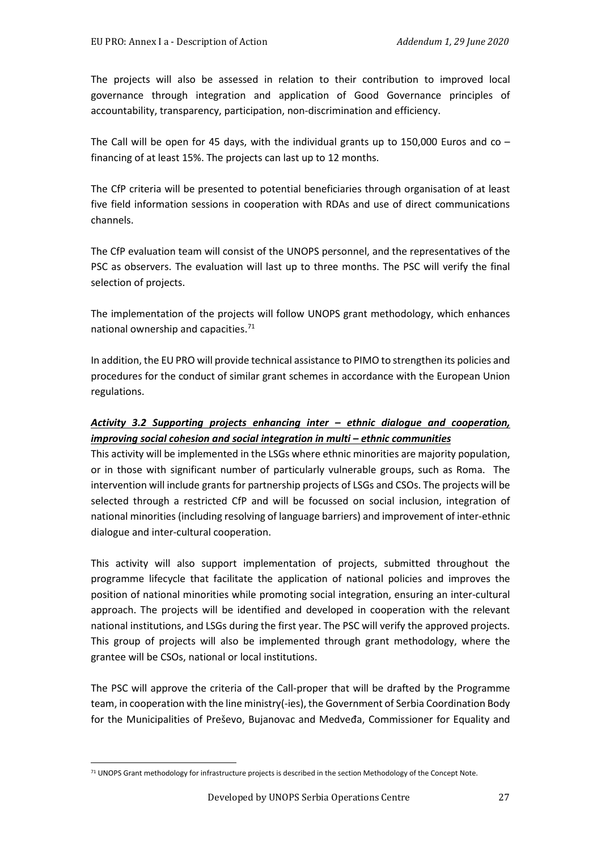The projects will also be assessed in relation to their contribution to improved local governance through integration and application of Good Governance principles of accountability, transparency, participation, non-discrimination and efficiency.

The Call will be open for 45 days, with the individual grants up to 150,000 Euros and  $\cos$  – financing of at least 15%. The projects can last up to 12 months.

The CfP criteria will be presented to potential beneficiaries through organisation of at least five field information sessions in cooperation with RDAs and use of direct communications channels.

The CfP evaluation team will consist of the UNOPS personnel, and the representatives of the PSC as observers. The evaluation will last up to three months. The PSC will verify the final selection of projects.

The implementation of the projects will follow UNOPS grant methodology, which enhances national ownership and capacities. [71](#page-26-0)

In addition, the EU PRO will provide technical assistance to PIMO to strengthen its policies and procedures for the conduct of similar grant schemes in accordance with the European Union regulations.

### *Activity 3.2 Supporting projects enhancing inter – ethnic dialogue and cooperation, improving social cohesion and social integration in multi – ethnic communities*

This activity will be implemented in the LSGs where ethnic minorities are majority population, or in those with significant number of particularly vulnerable groups, such as Roma. The intervention will include grants for partnership projects of LSGs and CSOs. The projects will be selected through a restricted CfP and will be focussed on social inclusion, integration of national minorities (including resolving of language barriers) and improvement of inter-ethnic dialogue and inter-cultural cooperation.

This activity will also support implementation of projects, submitted throughout the programme lifecycle that facilitate the application of national policies and improves the position of national minorities while promoting social integration, ensuring an inter-cultural approach. The projects will be identified and developed in cooperation with the relevant national institutions, and LSGs during the first year. The PSC will verify the approved projects. This group of projects will also be implemented through grant methodology, where the grantee will be CSOs, national or local institutions.

The PSC will approve the criteria of the Call-proper that will be drafted by the Programme team, in cooperation with the line ministry(-ies), the Government of Serbia Coordination Body for the Municipalities of Preševo, Bujanovac and Medveđa, Commissioner for Equality and

<span id="page-26-0"></span><sup>&</sup>lt;sup>71</sup> UNOPS Grant methodology for infrastructure projects is described in the section Methodology of the Concept Note.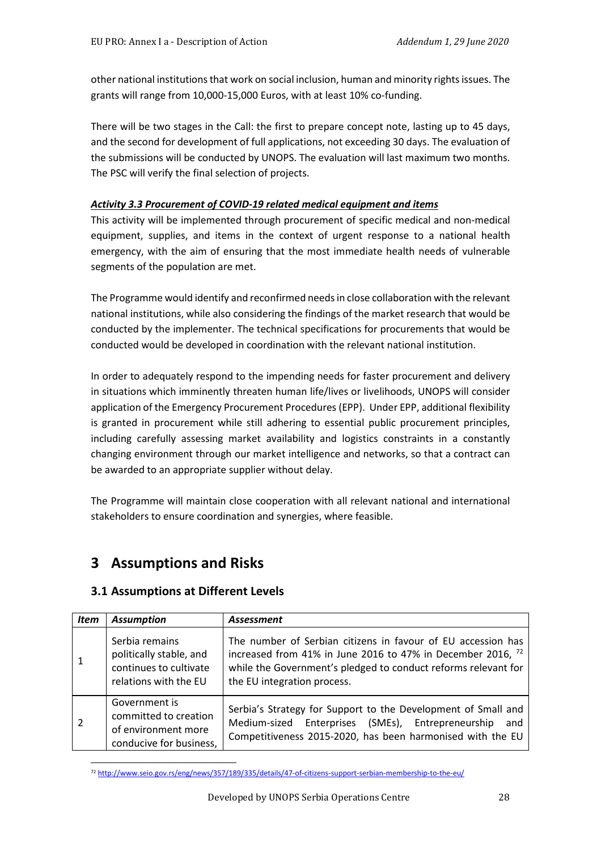other national institutions that work on social inclusion, human and minority rights issues. The grants will range from 10,000-15,000 Euros, with at least 10% co-funding.

There will be two stages in the Call: the first to prepare concept note, lasting up to 45 days, and the second for development of full applications, not exceeding 30 days. The evaluation of the submissions will be conducted by UNOPS. The evaluation will last maximum two months. The PSC will verify the final selection of projects.

#### *Activity 3.3 Procurement of COVID-19 related medical equipment and items*

This activity will be implemented through procurement of specific medical and non-medical equipment, supplies, and items in the context of urgent response to a national health emergency, with the aim of ensuring that the most immediate health needs of vulnerable segments of the population are met.

The Programme would identify and reconfirmed needs in close collaboration with the relevant national institutions, while also considering the findings of the market research that would be conducted by the implementer. The technical specifications for procurements that would be conducted would be developed in coordination with the relevant national institution.

In order to adequately respond to the impending needs for faster procurement and delivery in situations which imminently threaten human life/lives or livelihoods, UNOPS will consider application of the Emergency Procurement Procedures (EPP). Under EPP, additional flexibility is granted in procurement while still adhering to essential public procurement principles, including carefully assessing market availability and logistics constraints in a constantly changing environment through our market intelligence and networks, so that a contract can be awarded to an appropriate supplier without delay.

The Programme will maintain close cooperation with all relevant national and international stakeholders to ensure coordination and synergies, where feasible.

# **3 Assumptions and Risks**

#### **3.1 Assumptions at Different Levels**

| <b>Item</b> | <b>Assumption</b>                                                                            | <b>Assessment</b>                                                                                                                                                                                                                       |  |  |  |  |
|-------------|----------------------------------------------------------------------------------------------|-----------------------------------------------------------------------------------------------------------------------------------------------------------------------------------------------------------------------------------------|--|--|--|--|
|             | Serbia remains<br>politically stable, and<br>continues to cultivate<br>relations with the EU | The number of Serbian citizens in favour of EU accession has<br>increased from 41% in June 2016 to 47% in December 2016, <sup>72</sup><br>while the Government's pledged to conduct reforms relevant for<br>the EU integration process. |  |  |  |  |
|             | Government is<br>committed to creation<br>of environment more<br>conducive for business,     | Serbia's Strategy for Support to the Development of Small and<br>Medium-sized Enterprises (SMEs), Entrepreneurship<br>and<br>Competitiveness 2015-2020, has been harmonised with the EU                                                 |  |  |  |  |

<span id="page-27-0"></span><sup>72</sup> <http://www.seio.gov.rs/eng/news/357/189/335/details/47-of-citizens-support-serbian-membership-to-the-eu/>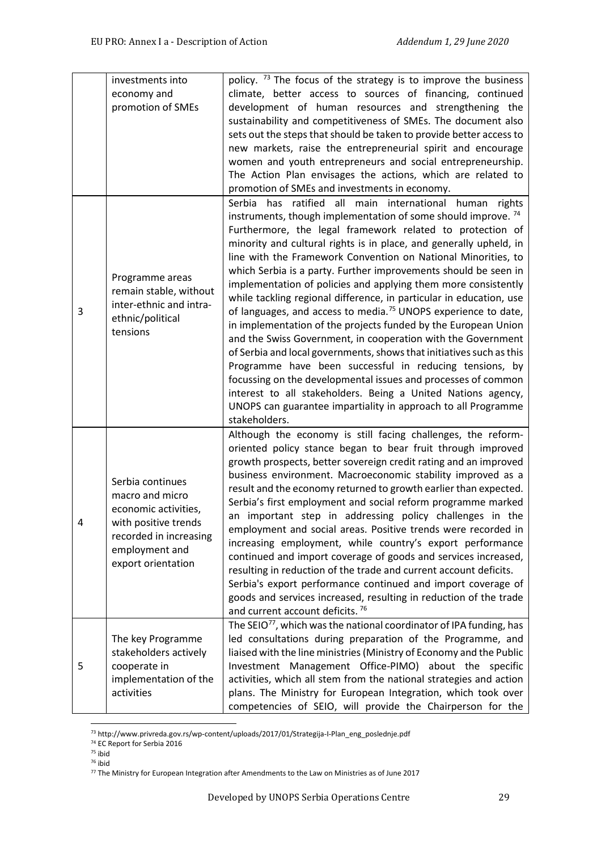|   | investments into<br>economy and<br>promotion of SMEs                                                                                                  | policy. <sup>73</sup> The focus of the strategy is to improve the business<br>climate, better access to sources of financing, continued<br>development of human resources and strengthening the<br>sustainability and competitiveness of SMEs. The document also<br>sets out the steps that should be taken to provide better access to<br>new markets, raise the entrepreneurial spirit and encourage<br>women and youth entrepreneurs and social entrepreneurship.<br>The Action Plan envisages the actions, which are related to<br>promotion of SMEs and investments in economy.                                                                                                                                                                                                                                                                                                                                                                                                                                                                                                                                         |
|---|-------------------------------------------------------------------------------------------------------------------------------------------------------|------------------------------------------------------------------------------------------------------------------------------------------------------------------------------------------------------------------------------------------------------------------------------------------------------------------------------------------------------------------------------------------------------------------------------------------------------------------------------------------------------------------------------------------------------------------------------------------------------------------------------------------------------------------------------------------------------------------------------------------------------------------------------------------------------------------------------------------------------------------------------------------------------------------------------------------------------------------------------------------------------------------------------------------------------------------------------------------------------------------------------|
| 3 | Programme areas<br>remain stable, without<br>inter-ethnic and intra-<br>ethnic/political<br>tensions                                                  | Serbia has ratified all main international human<br>rights<br>instruments, though implementation of some should improve. <sup>74</sup><br>Furthermore, the legal framework related to protection of<br>minority and cultural rights is in place, and generally upheld, in<br>line with the Framework Convention on National Minorities, to<br>which Serbia is a party. Further improvements should be seen in<br>implementation of policies and applying them more consistently<br>while tackling regional difference, in particular in education, use<br>of languages, and access to media. <sup>75</sup> UNOPS experience to date,<br>in implementation of the projects funded by the European Union<br>and the Swiss Government, in cooperation with the Government<br>of Serbia and local governments, shows that initiatives such as this<br>Programme have been successful in reducing tensions, by<br>focussing on the developmental issues and processes of common<br>interest to all stakeholders. Being a United Nations agency,<br>UNOPS can guarantee impartiality in approach to all Programme<br>stakeholders. |
|   | Serbia continues<br>macro and micro<br>economic activities,<br>with positive trends<br>recorded in increasing<br>employment and<br>export orientation | Although the economy is still facing challenges, the reform-<br>oriented policy stance began to bear fruit through improved<br>growth prospects, better sovereign credit rating and an improved<br>business environment. Macroeconomic stability improved as a<br>result and the economy returned to growth earlier than expected.<br>Serbia's first employment and social reform programme marked<br>an important step in addressing policy challenges in the<br>employment and social areas. Positive trends were recorded in<br>increasing employment, while country's export performance<br>continued and import coverage of goods and services increased,<br>resulting in reduction of the trade and current account deficits.<br>Serbia's export performance continued and import coverage of<br>goods and services increased, resulting in reduction of the trade<br>and current account deficits. <sup>76</sup>                                                                                                                                                                                                      |
| 5 | The key Programme<br>stakeholders actively<br>cooperate in<br>implementation of the<br>activities                                                     | The SEIO <sup>77</sup> , which was the national coordinator of IPA funding, has<br>led consultations during preparation of the Programme, and<br>liaised with the line ministries (Ministry of Economy and the Public<br>Investment Management Office-PIMO) about the specific<br>activities, which all stem from the national strategies and action<br>plans. The Ministry for European Integration, which took over<br>competencies of SEIO, will provide the Chairperson for the                                                                                                                                                                                                                                                                                                                                                                                                                                                                                                                                                                                                                                          |

<sup>73</sup> http://www.privreda.gov.rs/wp-content/uploads/2017/01/Strategija-I-Plan\_eng\_poslednje.pdf

<span id="page-28-3"></span><span id="page-28-2"></span><sup>75</sup> ibid

<span id="page-28-1"></span><span id="page-28-0"></span><sup>74</sup> EC Report for Serbia 2016

<sup>76</sup> ibid

<span id="page-28-4"></span> $77$  The Ministry for European Integration after Amendments to the Law on Ministries as of June 2017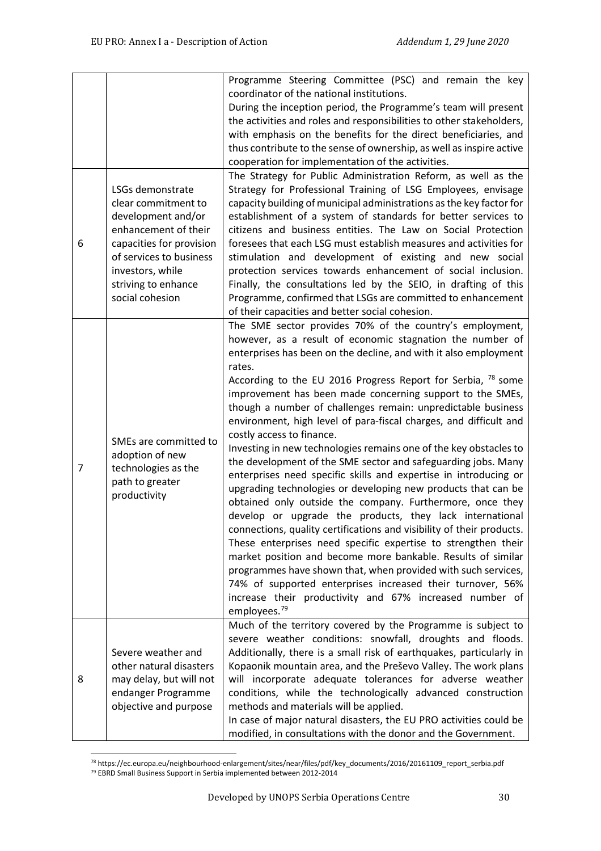|   |                                        | Programme Steering Committee (PSC) and remain the key                 |
|---|----------------------------------------|-----------------------------------------------------------------------|
|   |                                        | coordinator of the national institutions.                             |
|   |                                        | During the inception period, the Programme's team will present        |
|   |                                        | the activities and roles and responsibilities to other stakeholders,  |
|   |                                        | with emphasis on the benefits for the direct beneficiaries, and       |
|   |                                        | thus contribute to the sense of ownership, as well as inspire active  |
|   |                                        | cooperation for implementation of the activities.                     |
|   |                                        | The Strategy for Public Administration Reform, as well as the         |
|   | LSGs demonstrate                       | Strategy for Professional Training of LSG Employees, envisage         |
|   | clear commitment to                    | capacity building of municipal administrations as the key factor for  |
|   | development and/or                     | establishment of a system of standards for better services to         |
|   | enhancement of their                   | citizens and business entities. The Law on Social Protection          |
| 6 | capacities for provision               | foresees that each LSG must establish measures and activities for     |
|   | of services to business                | stimulation and development of existing and new social                |
|   | investors, while                       | protection services towards enhancement of social inclusion.          |
|   |                                        |                                                                       |
|   | striving to enhance                    | Finally, the consultations led by the SEIO, in drafting of this       |
|   | social cohesion                        | Programme, confirmed that LSGs are committed to enhancement           |
|   |                                        | of their capacities and better social cohesion.                       |
|   |                                        | The SME sector provides 70% of the country's employment,              |
|   |                                        | however, as a result of economic stagnation the number of             |
|   |                                        | enterprises has been on the decline, and with it also employment      |
|   |                                        | rates.                                                                |
|   |                                        | According to the EU 2016 Progress Report for Serbia, $^{78}$ some     |
|   |                                        | improvement has been made concerning support to the SMEs,             |
|   |                                        | though a number of challenges remain: unpredictable business          |
|   |                                        | environment, high level of para-fiscal charges, and difficult and     |
|   | SMEs are committed to                  | costly access to finance.                                             |
|   | adoption of new<br>technologies as the | Investing in new technologies remains one of the key obstacles to     |
| 7 |                                        | the development of the SME sector and safeguarding jobs. Many         |
|   | path to greater                        | enterprises need specific skills and expertise in introducing or      |
|   | productivity                           | upgrading technologies or developing new products that can be         |
|   |                                        | obtained only outside the company. Furthermore, once they             |
|   |                                        | develop or upgrade the products, they lack international              |
|   |                                        | connections, quality certifications and visibility of their products. |
|   |                                        | These enterprises need specific expertise to strengthen their         |
|   |                                        | market position and become more bankable. Results of similar          |
|   |                                        | programmes have shown that, when provided with such services,         |
|   |                                        | 74% of supported enterprises increased their turnover, 56%            |
|   |                                        | increase their productivity and 67% increased number of               |
|   |                                        | employees. <sup>79</sup>                                              |
|   |                                        | Much of the territory covered by the Programme is subject to          |
|   |                                        | severe weather conditions: snowfall, droughts and floods.             |
|   | Severe weather and                     | Additionally, there is a small risk of earthquakes, particularly in   |
|   | other natural disasters                | Kopaonik mountain area, and the Preševo Valley. The work plans        |
| 8 | may delay, but will not                | will incorporate adequate tolerances for adverse weather              |
|   | endanger Programme                     | conditions, while the technologically advanced construction           |
|   | objective and purpose                  | methods and materials will be applied.                                |
|   |                                        | In case of major natural disasters, the EU PRO activities could be    |
|   |                                        | modified, in consultations with the donor and the Government.         |

<span id="page-29-1"></span><span id="page-29-0"></span><sup>78</sup> https://ec.europa.eu/neighbourhood-enlargement/sites/near/files/pdf/key\_documents/2016/20161109\_report\_serbia.pdf <sup>79</sup> EBRD Small Business Support in Serbia implemented between 2012-2014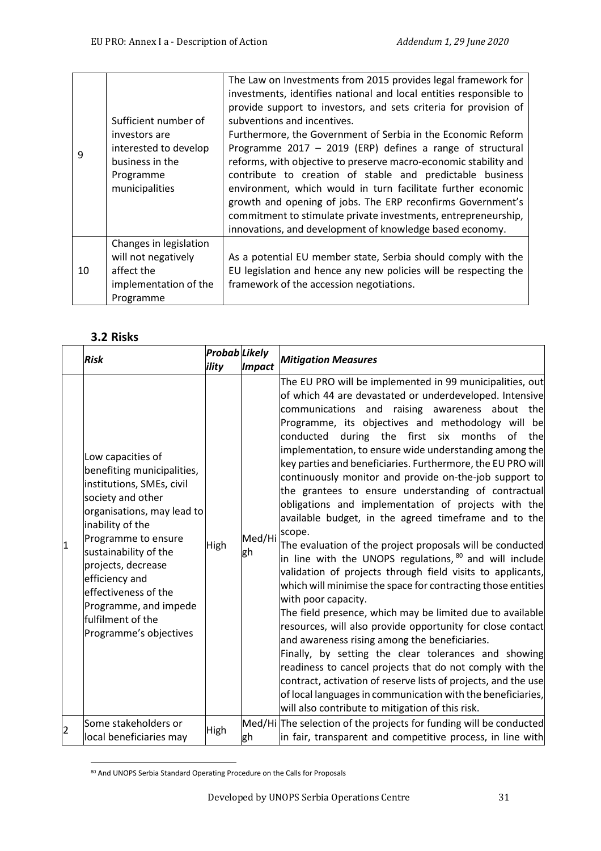| 9  | Sufficient number of<br>investors are<br>interested to develop<br>business in the<br>Programme<br>municipalities | The Law on Investments from 2015 provides legal framework for<br>investments, identifies national and local entities responsible to<br>provide support to investors, and sets criteria for provision of<br>subventions and incentives.<br>Furthermore, the Government of Serbia in the Economic Reform<br>Programme $2017 - 2019$ (ERP) defines a range of structural<br>reforms, with objective to preserve macro-economic stability and<br>contribute to creation of stable and predictable business<br>environment, which would in turn facilitate further economic<br>growth and opening of jobs. The ERP reconfirms Government's<br>commitment to stimulate private investments, entrepreneurship,<br>innovations, and development of knowledge based economy. |
|----|------------------------------------------------------------------------------------------------------------------|---------------------------------------------------------------------------------------------------------------------------------------------------------------------------------------------------------------------------------------------------------------------------------------------------------------------------------------------------------------------------------------------------------------------------------------------------------------------------------------------------------------------------------------------------------------------------------------------------------------------------------------------------------------------------------------------------------------------------------------------------------------------|
| 10 | Changes in legislation<br>will not negatively<br>affect the<br>implementation of the<br>Programme                | As a potential EU member state, Serbia should comply with the<br>EU legislation and hence any new policies will be respecting the<br>framework of the accession negotiations.                                                                                                                                                                                                                                                                                                                                                                                                                                                                                                                                                                                       |

# **3.2 Risks**

|   | Risk                                                                                                                                                                                                                                                                                                                                        | <b>Probab</b> Likely<br>ility | <i><b>Impact</b></i> | <b>Mitigation Measures</b>                                                                                                                                                                                                                                                                                                                                                                                                                                                                                                                                                                                                                                                                                                                                                                                                                                                                                                                                                                                                                                                                                                                                                                                                                                                                                                                                                                                      |
|---|---------------------------------------------------------------------------------------------------------------------------------------------------------------------------------------------------------------------------------------------------------------------------------------------------------------------------------------------|-------------------------------|----------------------|-----------------------------------------------------------------------------------------------------------------------------------------------------------------------------------------------------------------------------------------------------------------------------------------------------------------------------------------------------------------------------------------------------------------------------------------------------------------------------------------------------------------------------------------------------------------------------------------------------------------------------------------------------------------------------------------------------------------------------------------------------------------------------------------------------------------------------------------------------------------------------------------------------------------------------------------------------------------------------------------------------------------------------------------------------------------------------------------------------------------------------------------------------------------------------------------------------------------------------------------------------------------------------------------------------------------------------------------------------------------------------------------------------------------|
| 1 | Low capacities of<br>benefiting municipalities,<br>institutions, SMEs, civil<br>society and other<br>organisations, may lead to<br>inability of the<br>Programme to ensure<br>sustainability of the<br>projects, decrease<br>efficiency and<br>effectiveness of the<br>Programme, and impede<br>fulfilment of the<br>Programme's objectives | High                          | Med/Hi<br>gh         | The EU PRO will be implemented in 99 municipalities, out<br>of which 44 are devastated or underdeveloped. Intensive<br>communications and raising awareness about the<br>Programme, its objectives and methodology will be<br>conducted during the first six months of the<br>implementation, to ensure wide understanding among the<br>key parties and beneficiaries. Furthermore, the EU PRO will<br>continuously monitor and provide on-the-job support to<br>the grantees to ensure understanding of contractual<br>obligations and implementation of projects with the<br>available budget, in the agreed timeframe and to the<br>scope.<br>The evaluation of the project proposals will be conducted<br>in line with the UNOPS regulations, 80 and will include<br>validation of projects through field visits to applicants,<br>which will minimise the space for contracting those entities<br>with poor capacity.<br>The field presence, which may be limited due to available<br>resources, will also provide opportunity for close contact<br>and awareness rising among the beneficiaries.<br>Finally, by setting the clear tolerances and showing<br>readiness to cancel projects that do not comply with the<br>contract, activation of reserve lists of projects, and the use<br>of local languages in communication with the beneficiaries,<br>will also contribute to mitigation of this risk. |
| 2 | Some stakeholders or<br>local beneficiaries may                                                                                                                                                                                                                                                                                             | High                          | gh                   | Med/Hi The selection of the projects for funding will be conducted<br>in fair, transparent and competitive process, in line with                                                                                                                                                                                                                                                                                                                                                                                                                                                                                                                                                                                                                                                                                                                                                                                                                                                                                                                                                                                                                                                                                                                                                                                                                                                                                |

<span id="page-30-0"></span><sup>80</sup> And UNOPS Serbia Standard Operating Procedure on the Calls for Proposals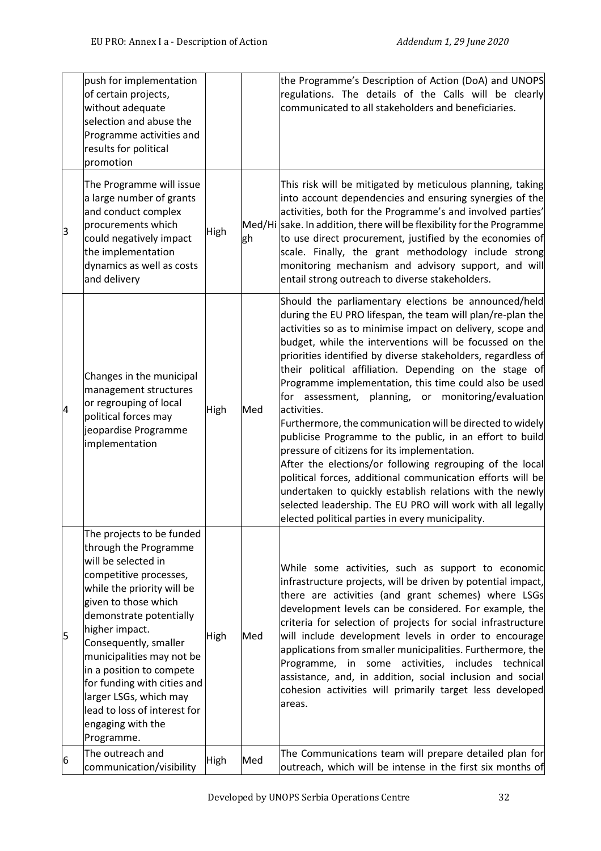|    | push for implementation<br>of certain projects,<br>without adequate<br>selection and abuse the<br>Programme activities and<br>results for political<br>promotion                                                                                                                                                                                                                                                     |             |     | the Programme's Description of Action (DoA) and UNOPS<br>regulations. The details of the Calls will be clearly<br>communicated to all stakeholders and beneficiaries.                                                                                                                                                                                                                                                                                                                                                                                                                                                                                                                                                                                                                                                                                                                                                                                                                 |
|----|----------------------------------------------------------------------------------------------------------------------------------------------------------------------------------------------------------------------------------------------------------------------------------------------------------------------------------------------------------------------------------------------------------------------|-------------|-----|---------------------------------------------------------------------------------------------------------------------------------------------------------------------------------------------------------------------------------------------------------------------------------------------------------------------------------------------------------------------------------------------------------------------------------------------------------------------------------------------------------------------------------------------------------------------------------------------------------------------------------------------------------------------------------------------------------------------------------------------------------------------------------------------------------------------------------------------------------------------------------------------------------------------------------------------------------------------------------------|
| З  | The Programme will issue<br>a large number of grants<br>and conduct complex<br>procurements which<br>could negatively impact<br>the implementation<br>dynamics as well as costs<br>and delivery                                                                                                                                                                                                                      | <b>High</b> | gh  | This risk will be mitigated by meticulous planning, taking<br>into account dependencies and ensuring synergies of the<br>activities, both for the Programme's and involved parties'<br>Med/Hi sake. In addition, there will be flexibility for the Programme<br>to use direct procurement, justified by the economies of<br>scale. Finally, the grant methodology include strong<br>monitoring mechanism and advisory support, and will<br>entail strong outreach to diverse stakeholders.                                                                                                                                                                                                                                                                                                                                                                                                                                                                                            |
| 4  | Changes in the municipal<br>management structures<br>or regrouping of local<br>political forces may<br>jeopardise Programme<br>implementation                                                                                                                                                                                                                                                                        | High        | Med | Should the parliamentary elections be announced/held<br>during the EU PRO lifespan, the team will plan/re-plan the<br>activities so as to minimise impact on delivery, scope and<br>budget, while the interventions will be focussed on the<br>priorities identified by diverse stakeholders, regardless of<br>their political affiliation. Depending on the stage of<br>Programme implementation, this time could also be used<br>for assessment, planning, or monitoring/evaluation<br>activities.<br>Furthermore, the communication will be directed to widely<br>publicise Programme to the public, in an effort to build<br>pressure of citizens for its implementation.<br>After the elections/or following regrouping of the local<br>political forces, additional communication efforts will be<br>undertaken to quickly establish relations with the newly<br>selected leadership. The EU PRO will work with all legally<br>elected political parties in every municipality. |
| 15 | The projects to be funded<br>through the Programme<br>will be selected in<br>competitive processes,<br>while the priority will be<br>given to those which<br>demonstrate potentially<br>higher impact.<br>Consequently, smaller<br>municipalities may not be<br>in a position to compete<br>for funding with cities and<br>larger LSGs, which may<br>lead to loss of interest for<br>engaging with the<br>Programme. | High        | Med | While some activities, such as support to economic<br>infrastructure projects, will be driven by potential impact,<br>there are activities (and grant schemes) where LSGs<br>development levels can be considered. For example, the<br>criteria for selection of projects for social infrastructure<br>will include development levels in order to encourage<br>applications from smaller municipalities. Furthermore, the<br>some activities,<br>Programme, in<br>includes<br>technical<br>assistance, and, in addition, social inclusion and social<br>cohesion activities will primarily target less developed<br>areas.                                                                                                                                                                                                                                                                                                                                                           |
| 6  | The outreach and<br>communication/visibility                                                                                                                                                                                                                                                                                                                                                                         | High        | Med | The Communications team will prepare detailed plan for<br>outreach, which will be intense in the first six months of                                                                                                                                                                                                                                                                                                                                                                                                                                                                                                                                                                                                                                                                                                                                                                                                                                                                  |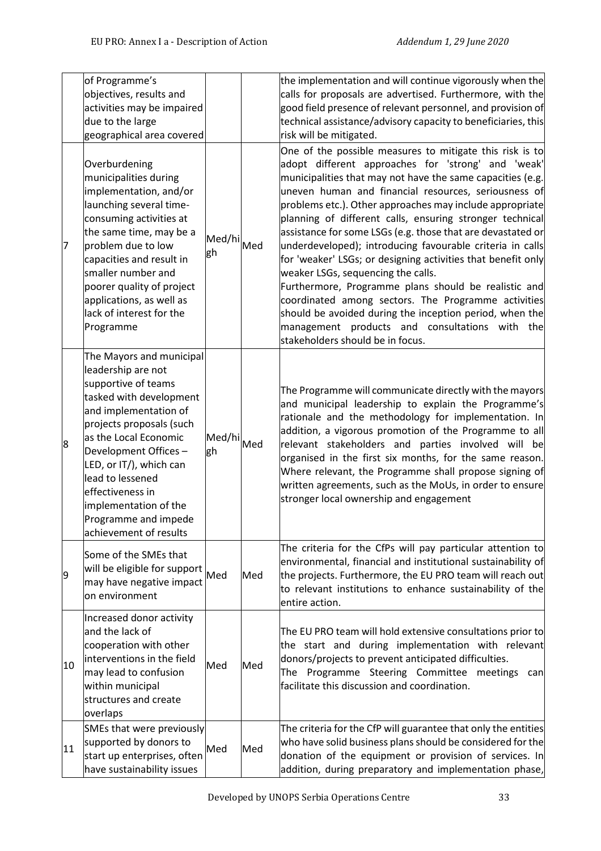|    | of Programme's<br>objectives, results and<br>activities may be impaired<br>due to the large<br>geographical area covered                                                                                                                                                                                                                             |                  |     | the implementation and will continue vigorously when the<br>calls for proposals are advertised. Furthermore, with the<br>good field presence of relevant personnel, and provision of<br>technical assistance/advisory capacity to beneficiaries, this<br>risk will be mitigated.                                                                                                                                                                                                                                                                                                                                                                                                                                                                                                                                                                               |
|----|------------------------------------------------------------------------------------------------------------------------------------------------------------------------------------------------------------------------------------------------------------------------------------------------------------------------------------------------------|------------------|-----|----------------------------------------------------------------------------------------------------------------------------------------------------------------------------------------------------------------------------------------------------------------------------------------------------------------------------------------------------------------------------------------------------------------------------------------------------------------------------------------------------------------------------------------------------------------------------------------------------------------------------------------------------------------------------------------------------------------------------------------------------------------------------------------------------------------------------------------------------------------|
| 7  | Overburdening<br>municipalities during<br>implementation, and/or<br>launching several time-<br>consuming activities at<br>the same time, may be a<br>problem due to low<br>capacities and result in<br>smaller number and<br>poorer quality of project<br>applications, as well as<br>lack of interest for the<br>Programme                          | Med/hi<br>gh     | Med | One of the possible measures to mitigate this risk is to<br>adopt different approaches for 'strong' and 'weak'<br>municipalities that may not have the same capacities (e.g.<br>uneven human and financial resources, seriousness of<br>problems etc.). Other approaches may include appropriate<br>planning of different calls, ensuring stronger technical<br>assistance for some LSGs (e.g. those that are devastated or<br>underdeveloped); introducing favourable criteria in calls<br>for 'weaker' LSGs; or designing activities that benefit only<br>weaker LSGs, sequencing the calls.<br>Furthermore, Programme plans should be realistic and<br>coordinated among sectors. The Programme activities<br>should be avoided during the inception period, when the<br>management products and consultations with the<br>stakeholders should be in focus. |
| 8  | The Mayors and municipal<br>leadership are not<br>supportive of teams<br>tasked with development<br>and implementation of<br>projects proposals (such<br>as the Local Economic<br>Development Offices-<br>LED, or IT/), which can<br>lead to lessened<br>effectiveness in<br>implementation of the<br>Programme and impede<br>achievement of results | Med/hi Med<br>gh |     | The Programme will communicate directly with the mayors<br>and municipal leadership to explain the Programme's<br>rationale and the methodology for implementation. In<br>addition, a vigorous promotion of the Programme to all<br>relevant stakeholders and parties involved will be<br>organised in the first six months, for the same reason.<br>Where relevant, the Programme shall propose signing of<br>written agreements, such as the MoUs, in order to ensure<br>stronger local ownership and engagement                                                                                                                                                                                                                                                                                                                                             |
| 9  | Some of the SMEs that<br>will be eligible for support<br>may have negative impact<br>on environment                                                                                                                                                                                                                                                  | Med              | Med | The criteria for the CfPs will pay particular attention to<br>environmental, financial and institutional sustainability of<br>the projects. Furthermore, the EU PRO team will reach out<br>to relevant institutions to enhance sustainability of the<br>entire action.                                                                                                                                                                                                                                                                                                                                                                                                                                                                                                                                                                                         |
| 10 | Increased donor activity<br>and the lack of<br>cooperation with other<br>interventions in the field<br>may lead to confusion<br>within municipal<br>structures and create<br>overlaps                                                                                                                                                                | Med              | Med | The EU PRO team will hold extensive consultations prior to<br>the start and during implementation with relevant<br>donors/projects to prevent anticipated difficulties.<br>The Programme Steering Committee meetings<br>can<br>facilitate this discussion and coordination.                                                                                                                                                                                                                                                                                                                                                                                                                                                                                                                                                                                    |
| 11 | SMEs that were previously<br>supported by donors to<br>start up enterprises, often<br>have sustainability issues                                                                                                                                                                                                                                     | Med              | Med | The criteria for the CfP will guarantee that only the entities<br>who have solid business plans should be considered for the<br>donation of the equipment or provision of services. In<br>addition, during preparatory and implementation phase,                                                                                                                                                                                                                                                                                                                                                                                                                                                                                                                                                                                                               |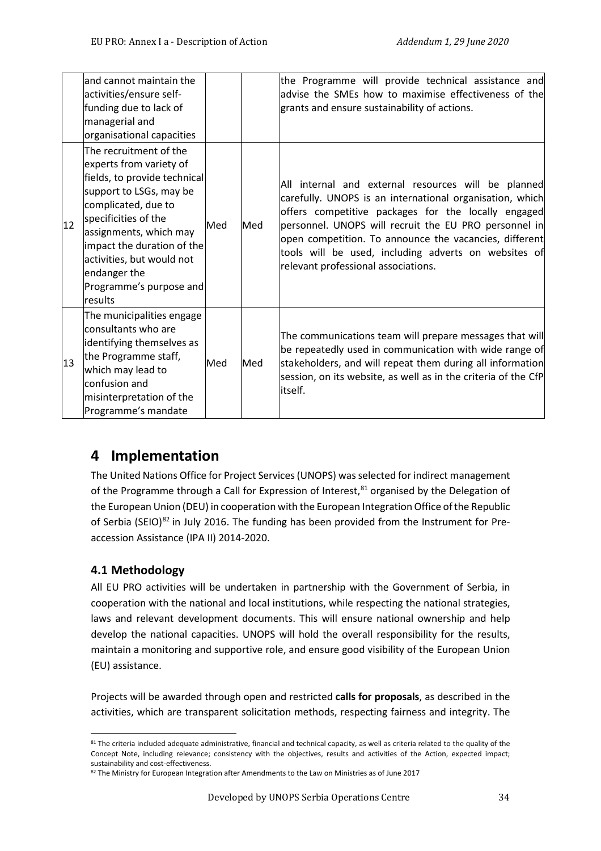|    | and cannot maintain the<br>activities/ensure self-<br>funding due to lack of<br>managerial and                                                                                                                                                                                                                                      |     |     | the Programme will provide technical assistance and<br>advise the SMEs how to maximise effectiveness of the<br>grants and ensure sustainability of actions.                                                                                                                                                                                                                              |
|----|-------------------------------------------------------------------------------------------------------------------------------------------------------------------------------------------------------------------------------------------------------------------------------------------------------------------------------------|-----|-----|------------------------------------------------------------------------------------------------------------------------------------------------------------------------------------------------------------------------------------------------------------------------------------------------------------------------------------------------------------------------------------------|
| 12 | organisational capacities<br>The recruitment of the<br>experts from variety of<br>fields, to provide technical<br>support to LSGs, may be<br>complicated, due to<br>specificities of the<br>assignments, which may<br>impact the duration of the<br>activities, but would not<br>endanger the<br>Programme's purpose and<br>results | Med | Med | All internal and external resources will be planned<br>carefully. UNOPS is an international organisation, which<br>offers competitive packages for the locally engaged<br>personnel. UNOPS will recruit the EU PRO personnel in<br>open competition. To announce the vacancies, different<br>tools will be used, including adverts on websites of<br>relevant professional associations. |
| 13 | The municipalities engage<br>consultants who are<br>identifying themselves as<br>the Programme staff,<br>which may lead to<br>confusion and<br>misinterpretation of the<br>Programme's mandate                                                                                                                                      | Med | Med | The communications team will prepare messages that will<br>be repeatedly used in communication with wide range of<br>stakeholders, and will repeat them during all information<br>session, on its website, as well as in the criteria of the CfP<br>itself.                                                                                                                              |

# **4 Implementation**

The United Nations Office for Project Services (UNOPS) was selected for indirect management of the Programme through a Call for Expression of Interest, $81$  organised by the Delegation of the European Union (DEU) in cooperation with the European Integration Office of the Republic of Serbia (SEIO)<sup>[82](#page-33-1)</sup> in July 2016. The funding has been provided from the Instrument for Preaccession Assistance (IPA II) 2014-2020.

# **4.1 Methodology**

All EU PRO activities will be undertaken in partnership with the Government of Serbia, in cooperation with the national and local institutions, while respecting the national strategies, laws and relevant development documents. This will ensure national ownership and help develop the national capacities. UNOPS will hold the overall responsibility for the results, maintain a monitoring and supportive role, and ensure good visibility of the European Union (EU) assistance.

Projects will be awarded through open and restricted **calls for proposals**, as described in the activities, which are transparent solicitation methods, respecting fairness and integrity. The

<span id="page-33-0"></span><sup>81</sup> The criteria included adequate administrative, financial and technical capacity, as well as criteria related to the quality of the Concept Note, including relevance; consistency with the objectives, results and activities of the Action, expected impact; sustainability and cost-effectiveness.

<span id="page-33-1"></span><sup>82</sup> The Ministry for European Integration after Amendments to the Law on Ministries as of June 2017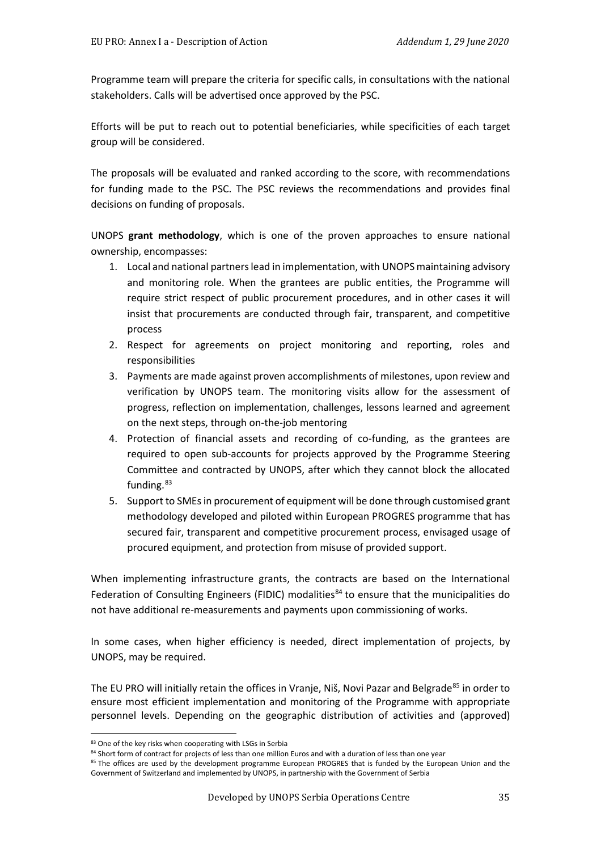Programme team will prepare the criteria for specific calls, in consultations with the national stakeholders. Calls will be advertised once approved by the PSC.

Efforts will be put to reach out to potential beneficiaries, while specificities of each target group will be considered.

The proposals will be evaluated and ranked according to the score, with recommendations for funding made to the PSC. The PSC reviews the recommendations and provides final decisions on funding of proposals.

UNOPS **grant methodology**, which is one of the proven approaches to ensure national ownership, encompasses:

- 1. Local and national partners lead in implementation, with UNOPS maintaining advisory and monitoring role. When the grantees are public entities, the Programme will require strict respect of public procurement procedures, and in other cases it will insist that procurements are conducted through fair, transparent, and competitive process
- 2. Respect for agreements on project monitoring and reporting, roles and responsibilities
- 3. Payments are made against proven accomplishments of milestones, upon review and verification by UNOPS team. The monitoring visits allow for the assessment of progress, reflection on implementation, challenges, lessons learned and agreement on the next steps, through on-the-job mentoring
- 4. Protection of financial assets and recording of co-funding, as the grantees are required to open sub-accounts for projects approved by the Programme Steering Committee and contracted by UNOPS, after which they cannot block the allocated funding.<sup>[83](#page-34-0)</sup>
- 5. Support to SMEs in procurement of equipment will be done through customised grant methodology developed and piloted within European PROGRES programme that has secured fair, transparent and competitive procurement process, envisaged usage of procured equipment, and protection from misuse of provided support.

When implementing infrastructure grants, the contracts are based on the International Federation of Consulting Engineers (FIDIC) modalities<sup>[84](#page-34-1)</sup> to ensure that the municipalities do not have additional re-measurements and payments upon commissioning of works.

In some cases, when higher efficiency is needed, direct implementation of projects, by UNOPS, may be required.

The EU PRO will initially retain the offices in Vranje, Niš, Novi Pazar and Belgrade<sup>[85](#page-34-2)</sup> in order to ensure most efficient implementation and monitoring of the Programme with appropriate personnel levels. Depending on the geographic distribution of activities and (approved)

<sup>83</sup> One of the key risks when cooperating with LSGs in Serbia

<span id="page-34-0"></span><sup>84</sup> Short form of contract for projects of less than one million Euros and with a duration of less than one year

<span id="page-34-2"></span><span id="page-34-1"></span><sup>&</sup>lt;sup>85</sup> The offices are used by the development programme European PROGRES that is funded by the European Union and the Government of Switzerland and implemented by UNOPS, in partnership with the Government of Serbia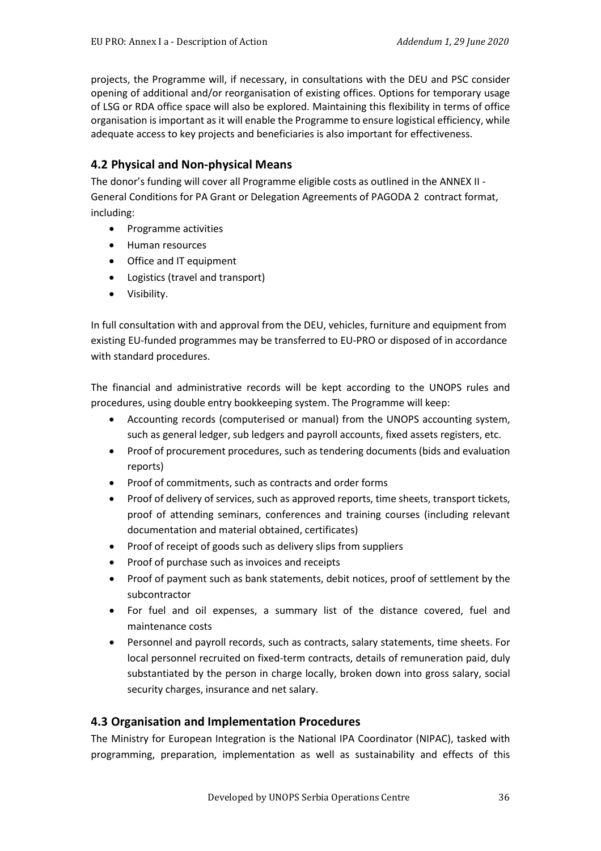projects, the Programme will, if necessary, in consultations with the DEU and PSC consider opening of additional and/or reorganisation of existing offices. Options for temporary usage of LSG or RDA office space will also be explored. Maintaining this flexibility in terms of office organisation is important as it will enable the Programme to ensure logistical efficiency, while adequate access to key projects and beneficiaries is also important for effectiveness.

# **4.2 Physical and Non-physical Means**

The donor's funding will cover all Programme eligible costs as outlined in the ANNEX II - General Conditions for PA Grant or Delegation Agreements of PAGODA 2 contract format, including:

- Programme activities
- Human resources
- Office and IT equipment
- Logistics (travel and transport)
- Visibility.

In full consultation with and approval from the DEU, vehicles, furniture and equipment from existing EU-funded programmes may be transferred to EU-PRO or disposed of in accordance with standard procedures.

The financial and administrative records will be kept according to the UNOPS rules and procedures, using double entry bookkeeping system. The Programme will keep:

- Accounting records (computerised or manual) from the UNOPS accounting system, such as general ledger, sub ledgers and payroll accounts, fixed assets registers, etc.
- Proof of procurement procedures, such as tendering documents (bids and evaluation reports)
- Proof of commitments, such as contracts and order forms
- Proof of delivery of services, such as approved reports, time sheets, transport tickets, proof of attending seminars, conferences and training courses (including relevant documentation and material obtained, certificates)
- Proof of receipt of goods such as delivery slips from suppliers
- Proof of purchase such as invoices and receipts
- Proof of payment such as bank statements, debit notices, proof of settlement by the subcontractor
- For fuel and oil expenses, a summary list of the distance covered, fuel and maintenance costs
- Personnel and payroll records, such as contracts, salary statements, time sheets. For local personnel recruited on fixed-term contracts, details of remuneration paid, duly substantiated by the person in charge locally, broken down into gross salary, social security charges, insurance and net salary.

## **4.3 Organisation and Implementation Procedures**

The Ministry for European Integration is the National IPA Coordinator (NIPAC), tasked with programming, preparation, implementation as well as sustainability and effects of this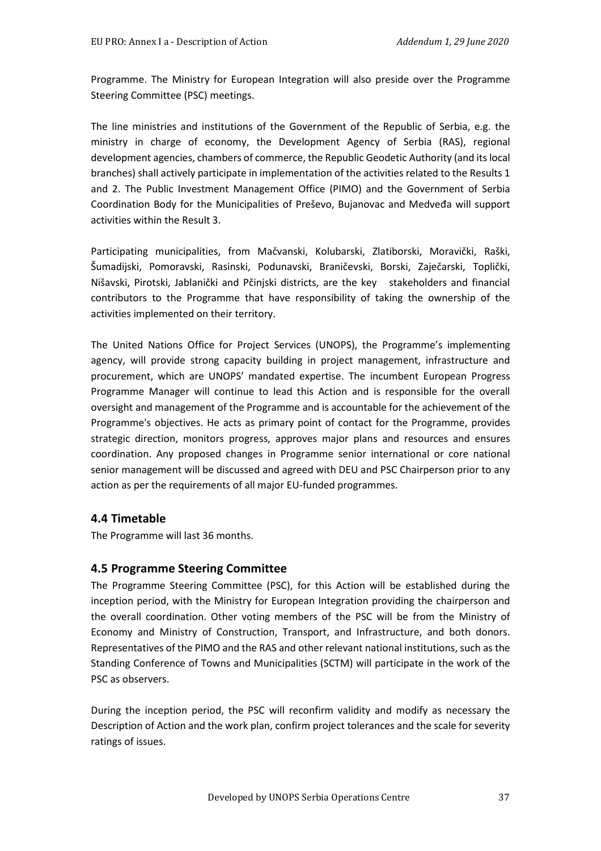Programme. The Ministry for European Integration will also preside over the Programme Steering Committee (PSC) meetings.

The line ministries and institutions of the Government of the Republic of Serbia, e.g. the ministry in charge of economy, the Development Agency of Serbia (RAS), regional development agencies, chambers of commerce, the Republic Geodetic Authority (and its local branches) shall actively participate in implementation of the activities related to the Results 1 and 2. The Public Investment Management Office (PIMO) and the Government of Serbia Coordination Body for the Municipalities of Preševo, Bujanovac and Medveđa will support activities within the Result 3.

Participating municipalities, from Mačvanski, Kolubarski, Zlatiborski, Moravički, Raški, Šumadijski, Pomoravski, Rasinski, Podunavski, Braničevski, Borski, Zaječarski, Toplički, Nišavski, Pirotski, Jablanički and Pčinjski districts, are the key stakeholders and financial contributors to the Programme that have responsibility of taking the ownership of the activities implemented on their territory.

The United Nations Office for Project Services (UNOPS), the Programme's implementing agency, will provide strong capacity building in project management, infrastructure and procurement, which are UNOPS' mandated expertise. The incumbent European Progress Programme Manager will continue to lead this Action and is responsible for the overall oversight and management of the Programme and is accountable for the achievement of the Programme's objectives. He acts as primary point of contact for the Programme, provides strategic direction, monitors progress, approves major plans and resources and ensures coordination. Any proposed changes in Programme senior international or core national senior management will be discussed and agreed with DEU and PSC Chairperson prior to any action as per the requirements of all major EU-funded programmes.

#### **4.4 Timetable**

The Programme will last 36 months.

#### **4.5 Programme Steering Committee**

The Programme Steering Committee (PSC), for this Action will be established during the inception period, with the Ministry for European Integration providing the chairperson and the overall coordination. Other voting members of the PSC will be from the Ministry of Economy and Ministry of Construction, Transport, and Infrastructure, and both donors. Representatives of the PIMO and the RAS and other relevant national institutions, such as the Standing Conference of Towns and Municipalities (SCTM) will participate in the work of the PSC as observers.

During the inception period, the PSC will reconfirm validity and modify as necessary the Description of Action and the work plan, confirm project tolerances and the scale for severity ratings of issues.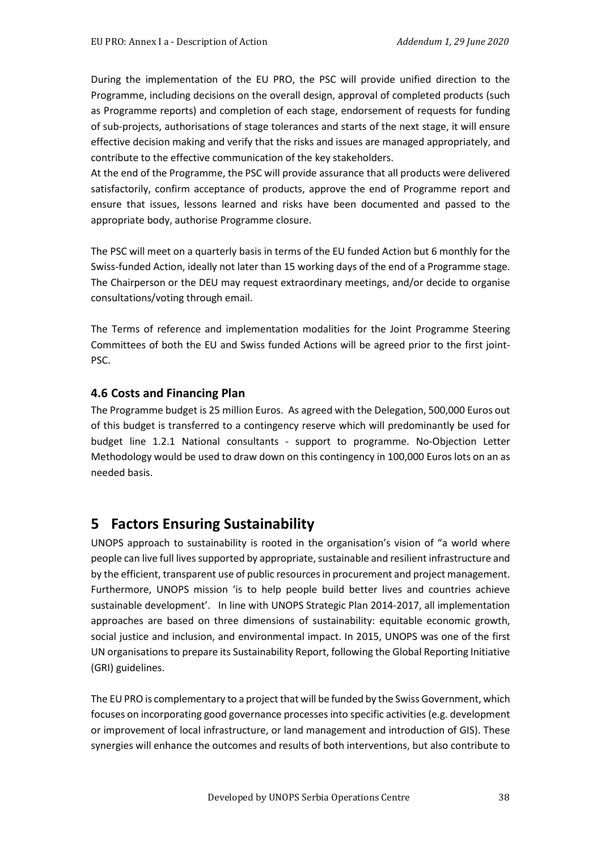During the implementation of the EU PRO, the PSC will provide unified direction to the Programme, including decisions on the overall design, approval of completed products (such as Programme reports) and completion of each stage, endorsement of requests for funding of sub-projects, authorisations of stage tolerances and starts of the next stage, it will ensure effective decision making and verify that the risks and issues are managed appropriately, and contribute to the effective communication of the key stakeholders.

At the end of the Programme, the PSC will provide assurance that all products were delivered satisfactorily, confirm acceptance of products, approve the end of Programme report and ensure that issues, lessons learned and risks have been documented and passed to the appropriate body, authorise Programme closure.

The PSC will meet on a quarterly basis in terms of the EU funded Action but 6 monthly for the Swiss-funded Action, ideally not later than 15 working days of the end of a Programme stage. The Chairperson or the DEU may request extraordinary meetings, and/or decide to organise consultations/voting through email.

The Terms of reference and implementation modalities for the Joint Programme Steering Committees of both the EU and Swiss funded Actions will be agreed prior to the first joint-PSC.

#### **4.6 Costs and Financing Plan**

The Programme budget is 25 million Euros. As agreed with the Delegation, 500,000 Euros out of this budget is transferred to a contingency reserve which will predominantly be used for budget line 1.2.1 National consultants - support to programme. No-Objection Letter Methodology would be used to draw down on this contingency in 100,000 Euros lots on an as needed basis.

# **5 Factors Ensuring Sustainability**

UNOPS approach to sustainability is rooted in the organisation's vision of "a world where people can live full lives supported by appropriate, sustainable and resilient infrastructure and by the efficient, transparent use of public resources in procurement and project management. Furthermore, UNOPS mission 'is to help people build better lives and countries achieve sustainable development'. In line with UNOPS Strategic Plan 2014-2017, all implementation approaches are based on three dimensions of sustainability: equitable economic growth, social justice and inclusion, and environmental impact. In 2015, UNOPS was one of the first UN organisations to prepare its Sustainability Report, following the Global Reporting Initiative (GRI) guidelines.

The EU PRO is complementary to a project that will be funded by the Swiss Government, which focuses on incorporating good governance processes into specific activities (e.g. development or improvement of local infrastructure, or land management and introduction of GIS). These synergies will enhance the outcomes and results of both interventions, but also contribute to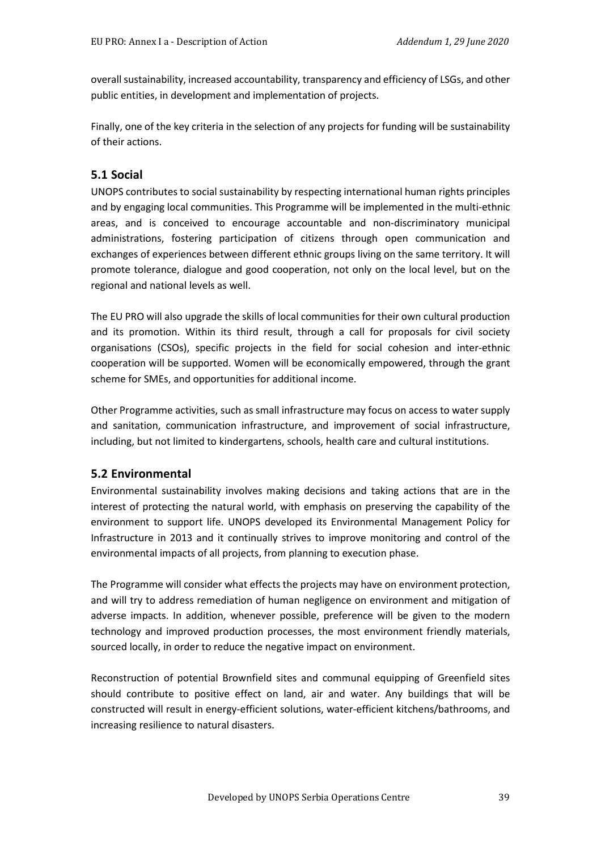overall sustainability, increased accountability, transparency and efficiency of LSGs, and other public entities, in development and implementation of projects.

Finally, one of the key criteria in the selection of any projects for funding will be sustainability of their actions.

### **5.1 Social**

UNOPS contributes to social sustainability by respecting international human rights principles and by engaging local communities. This Programme will be implemented in the multi-ethnic areas, and is conceived to encourage accountable and non-discriminatory municipal administrations, fostering participation of citizens through open communication and exchanges of experiences between different ethnic groups living on the same territory. It will promote tolerance, dialogue and good cooperation, not only on the local level, but on the regional and national levels as well.

The EU PRO will also upgrade the skills of local communities for their own cultural production and its promotion. Within its third result, through a call for proposals for civil society organisations (CSOs), specific projects in the field for social cohesion and inter-ethnic cooperation will be supported. Women will be economically empowered, through the grant scheme for SMEs, and opportunities for additional income.

Other Programme activities, such as small infrastructure may focus on access to water supply and sanitation, communication infrastructure, and improvement of social infrastructure, including, but not limited to kindergartens, schools, health care and cultural institutions.

#### **5.2 Environmental**

Environmental sustainability involves making decisions and taking actions that are in the interest of protecting the natural world, with emphasis on preserving the capability of the environment to support life. UNOPS developed its Environmental Management Policy for Infrastructure in 2013 and it continually strives to improve monitoring and control of the environmental impacts of all projects, from planning to execution phase.

The Programme will consider what effects the projects may have on environment protection, and will try to address remediation of human negligence on environment and mitigation of adverse impacts. In addition, whenever possible, preference will be given to the modern technology and improved production processes, the most environment friendly materials, sourced locally, in order to reduce the negative impact on environment.

Reconstruction of potential Brownfield sites and communal equipping of Greenfield sites should contribute to positive effect on land, air and water. Any buildings that will be constructed will result in energy-efficient solutions, water-efficient kitchens/bathrooms, and increasing resilience to natural disasters.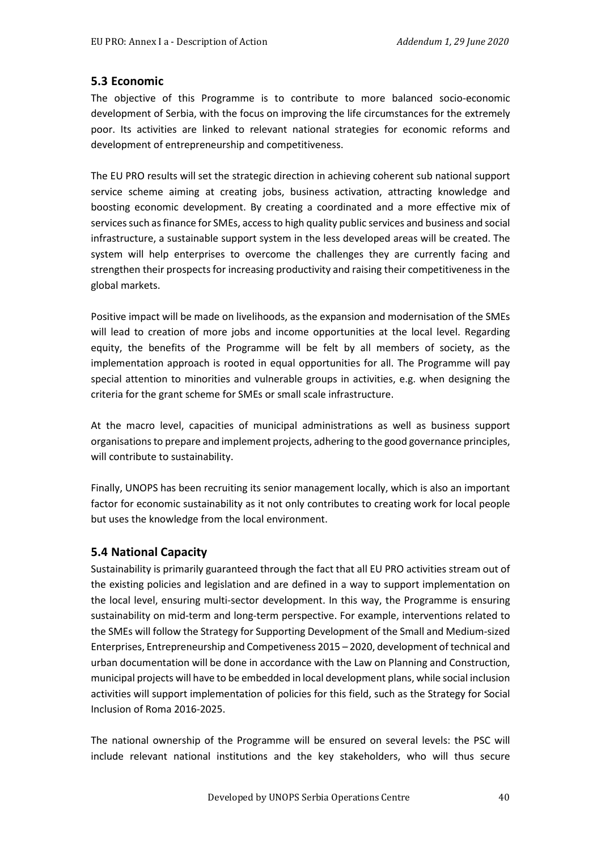#### **5.3 Economic**

The objective of this Programme is to contribute to more balanced socio-economic development of Serbia, with the focus on improving the life circumstances for the extremely poor. Its activities are linked to relevant national strategies for economic reforms and development of entrepreneurship and competitiveness.

The EU PRO results will set the strategic direction in achieving coherent sub national support service scheme aiming at creating jobs, business activation, attracting knowledge and boosting economic development. By creating a coordinated and a more effective mix of services such as finance for SMEs, access to high quality public services and business and social infrastructure, a sustainable support system in the less developed areas will be created. The system will help enterprises to overcome the challenges they are currently facing and strengthen their prospects for increasing productivity and raising their competitiveness in the global markets.

Positive impact will be made on livelihoods, as the expansion and modernisation of the SMEs will lead to creation of more jobs and income opportunities at the local level. Regarding equity, the benefits of the Programme will be felt by all members of society, as the implementation approach is rooted in equal opportunities for all. The Programme will pay special attention to minorities and vulnerable groups in activities, e.g. when designing the criteria for the grant scheme for SMEs or small scale infrastructure.

At the macro level, capacities of municipal administrations as well as business support organisations to prepare and implement projects, adhering to the good governance principles, will contribute to sustainability.

Finally, UNOPS has been recruiting its senior management locally, which is also an important factor for economic sustainability as it not only contributes to creating work for local people but uses the knowledge from the local environment.

#### **5.4 National Capacity**

Sustainability is primarily guaranteed through the fact that all EU PRO activities stream out of the existing policies and legislation and are defined in a way to support implementation on the local level, ensuring multi-sector development. In this way, the Programme is ensuring sustainability on mid-term and long-term perspective. For example, interventions related to the SMEs will follow the Strategy for Supporting Development of the Small and Medium-sized Enterprises, Entrepreneurship and Competiveness 2015 – 2020, development of technical and urban documentation will be done in accordance with the Law on Planning and Construction, municipal projects will have to be embedded in local development plans, while social inclusion activities will support implementation of policies for this field, such as the Strategy for Social Inclusion of Roma 2016-2025.

The national ownership of the Programme will be ensured on several levels: the PSC will include relevant national institutions and the key stakeholders, who will thus secure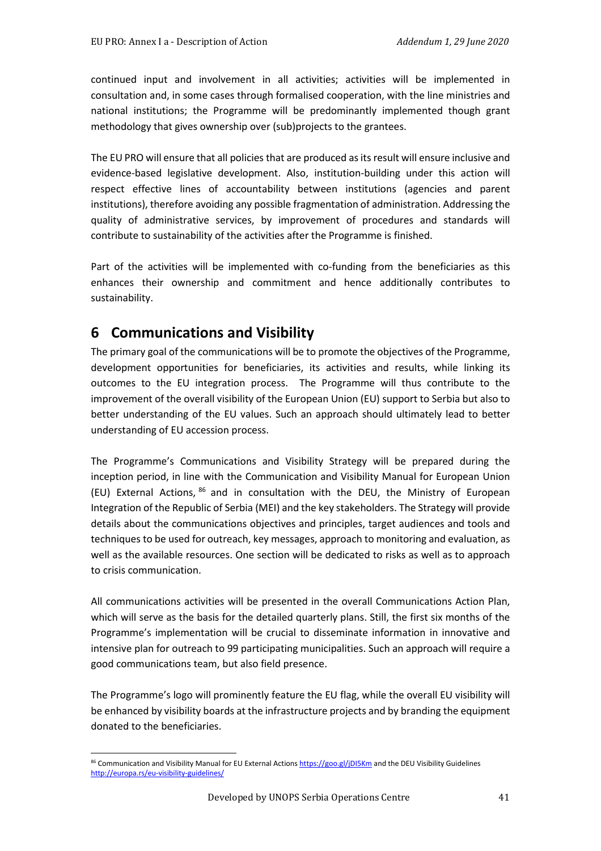continued input and involvement in all activities; activities will be implemented in consultation and, in some cases through formalised cooperation, with the line ministries and national institutions; the Programme will be predominantly implemented though grant methodology that gives ownership over (sub)projects to the grantees.

The EU PRO will ensure that all policies that are produced as its result will ensure inclusive and evidence-based legislative development. Also, institution-building under this action will respect effective lines of accountability between institutions (agencies and parent institutions), therefore avoiding any possible fragmentation of administration. Addressing the quality of administrative services, by improvement of procedures and standards will contribute to sustainability of the activities after the Programme is finished.

Part of the activities will be implemented with co-funding from the beneficiaries as this enhances their ownership and commitment and hence additionally contributes to sustainability.

# **6 Communications and Visibility**

The primary goal of the communications will be to promote the objectives of the Programme, development opportunities for beneficiaries, its activities and results, while linking its outcomes to the EU integration process. The Programme will thus contribute to the improvement of the overall visibility of the European Union (EU) support to Serbia but also to better understanding of the EU values. Such an approach should ultimately lead to better understanding of EU accession process.

The Programme's Communications and Visibility Strategy will be prepared during the inception period, in line with the Communication and Visibility Manual for European Union (EU) External Actions, [86](#page-40-0) and in consultation with the DEU, the Ministry of European Integration of the Republic of Serbia (MEI) and the key stakeholders. The Strategy will provide details about the communications objectives and principles, target audiences and tools and techniques to be used for outreach, key messages, approach to monitoring and evaluation, as well as the available resources. One section will be dedicated to risks as well as to approach to crisis communication.

All communications activities will be presented in the overall Communications Action Plan, which will serve as the basis for the detailed quarterly plans. Still, the first six months of the Programme's implementation will be crucial to disseminate information in innovative and intensive plan for outreach to 99 participating municipalities. Such an approach will require a good communications team, but also field presence.

The Programme's logo will prominently feature the EU flag, while the overall EU visibility will be enhanced by visibility boards at the infrastructure projects and by branding the equipment donated to the beneficiaries.

<span id="page-40-0"></span><sup>86</sup> Communication and Visibility Manual for EU External Action[s https://goo.gl/jDI5Km](https://goo.gl/jDI5Km) and the DEU Visibility Guidelines <http://europa.rs/eu-visibility-guidelines/>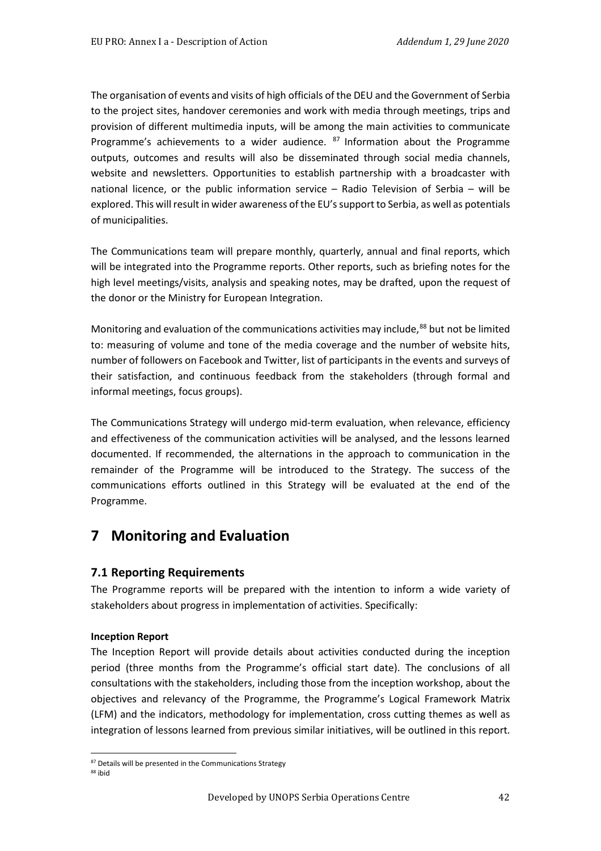The organisation of events and visits of high officials of the DEU and the Government of Serbia to the project sites, handover ceremonies and work with media through meetings, trips and provision of different multimedia inputs, will be among the main activities to communicate Programme's achievements to a wider audience. <sup>[87](#page-41-0)</sup> Information about the Programme outputs, outcomes and results will also be disseminated through social media channels, website and newsletters. Opportunities to establish partnership with a broadcaster with national licence, or the public information service – Radio Television of Serbia – will be explored. This will result in wider awareness of the EU's support to Serbia, as well as potentials of municipalities.

The Communications team will prepare monthly, quarterly, annual and final reports, which will be integrated into the Programme reports. Other reports, such as briefing notes for the high level meetings/visits, analysis and speaking notes, may be drafted, upon the request of the donor or the Ministry for European Integration.

Monitoring and evaluation of the communications activities may include,<sup>88</sup> but not be limited to: measuring of volume and tone of the media coverage and the number of website hits, number of followers on Facebook and Twitter, list of participants in the events and surveys of their satisfaction, and continuous feedback from the stakeholders (through formal and informal meetings, focus groups).

The Communications Strategy will undergo mid-term evaluation, when relevance, efficiency and effectiveness of the communication activities will be analysed, and the lessons learned documented. If recommended, the alternations in the approach to communication in the remainder of the Programme will be introduced to the Strategy. The success of the communications efforts outlined in this Strategy will be evaluated at the end of the Programme.

# **7 Monitoring and Evaluation**

## **7.1 Reporting Requirements**

The Programme reports will be prepared with the intention to inform a wide variety of stakeholders about progress in implementation of activities. Specifically:

#### **Inception Report**

The Inception Report will provide details about activities conducted during the inception period (three months from the Programme's official start date). The conclusions of all consultations with the stakeholders, including those from the inception workshop, about the objectives and relevancy of the Programme, the Programme's Logical Framework Matrix (LFM) and the indicators, methodology for implementation, cross cutting themes as well as integration of lessons learned from previous similar initiatives, will be outlined in this report.

<sup>87</sup> Details will be presented in the Communications Strategy

<span id="page-41-1"></span><span id="page-41-0"></span><sup>88</sup> ibid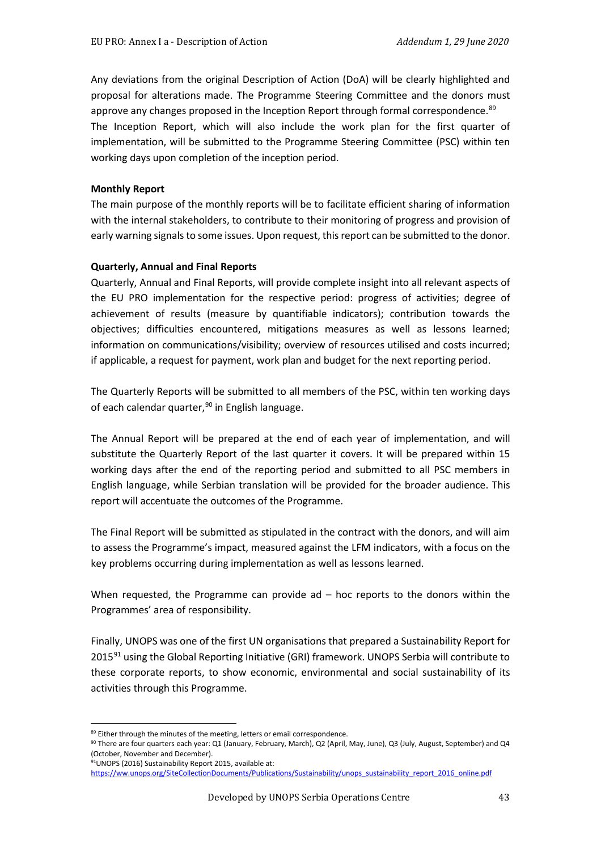Any deviations from the original Description of Action (DoA) will be clearly highlighted and proposal for alterations made. The Programme Steering Committee and the donors must approve any changes proposed in the Inception Report through formal correspondence.<sup>[89](#page-42-0)</sup> The Inception Report, which will also include the work plan for the first quarter of implementation, will be submitted to the Programme Steering Committee (PSC) within ten working days upon completion of the inception period.

#### **Monthly Report**

The main purpose of the monthly reports will be to facilitate efficient sharing of information with the internal stakeholders, to contribute to their monitoring of progress and provision of early warning signals to some issues. Upon request, this report can be submitted to the donor.

#### **Quarterly, Annual and Final Reports**

Quarterly, Annual and Final Reports, will provide complete insight into all relevant aspects of the EU PRO implementation for the respective period: progress of activities; degree of achievement of results (measure by quantifiable indicators); contribution towards the objectives; difficulties encountered, mitigations measures as well as lessons learned; information on communications/visibility; overview of resources utilised and costs incurred; if applicable, a request for payment, work plan and budget for the next reporting period.

The Quarterly Reports will be submitted to all members of the PSC, within ten working days of each calendar quarter,<sup>[90](#page-42-1)</sup> in English language.

The Annual Report will be prepared at the end of each year of implementation, and will substitute the Quarterly Report of the last quarter it covers. It will be prepared within 15 working days after the end of the reporting period and submitted to all PSC members in English language, while Serbian translation will be provided for the broader audience. This report will accentuate the outcomes of the Programme.

The Final Report will be submitted as stipulated in the contract with the donors, and will aim to assess the Programme's impact, measured against the LFM indicators, with a focus on the key problems occurring during implementation as well as lessons learned.

When requested, the Programme can provide ad – hoc reports to the donors within the Programmes' area of responsibility.

Finally, UNOPS was one of the first UN organisations that prepared a Sustainability Report for 2015<sup>[91](#page-42-2)</sup> using the Global Reporting Initiative (GRI) framework. UNOPS Serbia will contribute to these corporate reports, to show economic, environmental and social sustainability of its activities through this Programme.

<span id="page-42-0"></span><sup>89</sup> Either through the minutes of the meeting, letters or email correspondence.

<span id="page-42-1"></span><sup>90</sup> There are four quarters each year: Q1 (January, February, March), Q2 (April, May, June), Q3 (July, August, September) and Q4 (October, November and December). 91 UNOPS (2016) Sustainability Report 2015, available at:

<span id="page-42-2"></span>[https://ww.unops.org/SiteCollectionDocuments/Publications/Sustainability/unops\\_sustainability\\_report\\_2016\\_online.pdf](https://ww.unops.org/SiteCollectionDocuments/Publications/Sustainability/unops_sustainability_report_2016_online.pdf)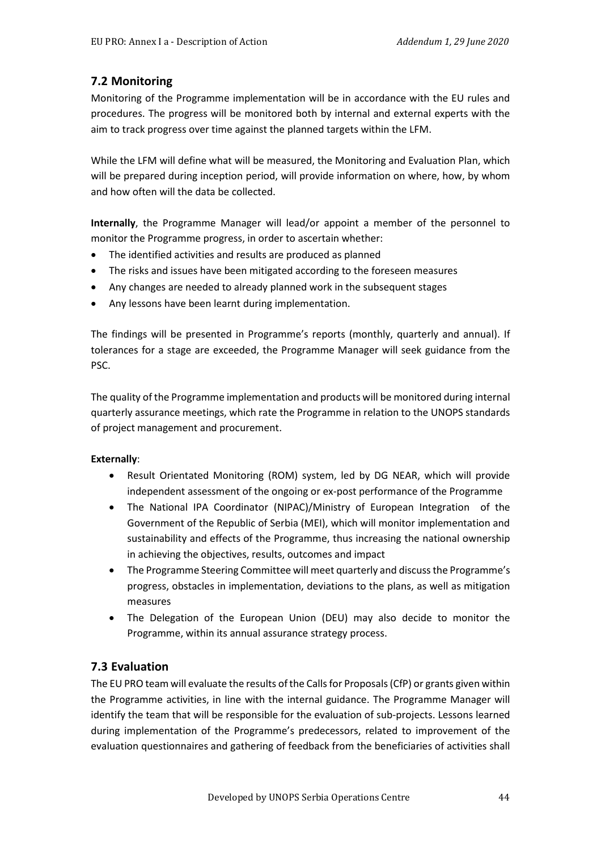#### **7.2 Monitoring**

Monitoring of the Programme implementation will be in accordance with the EU rules and procedures. The progress will be monitored both by internal and external experts with the aim to track progress over time against the planned targets within the LFM.

While the LFM will define what will be measured, the Monitoring and Evaluation Plan, which will be prepared during inception period, will provide information on where, how, by whom and how often will the data be collected.

**Internally**, the Programme Manager will lead/or appoint a member of the personnel to monitor the Programme progress, in order to ascertain whether:

- The identified activities and results are produced as planned
- The risks and issues have been mitigated according to the foreseen measures
- Any changes are needed to already planned work in the subsequent stages
- Any lessons have been learnt during implementation.

The findings will be presented in Programme's reports (monthly, quarterly and annual). If tolerances for a stage are exceeded, the Programme Manager will seek guidance from the PSC.

The quality of the Programme implementation and products will be monitored during internal quarterly assurance meetings, which rate the Programme in relation to the UNOPS standards of project management and procurement.

#### **Externally**:

- Result Orientated Monitoring (ROM) system, led by DG NEAR, which will provide independent assessment of the ongoing or ex-post performance of the Programme
- The National IPA Coordinator (NIPAC)/Ministry of European Integration of the Government of the Republic of Serbia (MEI), which will monitor implementation and sustainability and effects of the Programme, thus increasing the national ownership in achieving the objectives, results, outcomes and impact
- The Programme Steering Committee will meet quarterly and discuss the Programme's progress, obstacles in implementation, deviations to the plans, as well as mitigation measures
- The Delegation of the European Union (DEU) may also decide to monitor the Programme, within its annual assurance strategy process.

#### **7.3 Evaluation**

The EU PRO team will evaluate the results of the Calls for Proposals (CfP) or grants given within the Programme activities, in line with the internal guidance. The Programme Manager will identify the team that will be responsible for the evaluation of sub-projects. Lessons learned during implementation of the Programme's predecessors, related to improvement of the evaluation questionnaires and gathering of feedback from the beneficiaries of activities shall